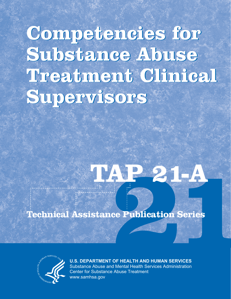**Competencies for Competencies for Substance Abuse Substance Abuse Treatment Clinical Treatment Clinical Supervisors Supervisors**

# **21 TAP 21-A**

**Technical Assistance Publication Series**



**U.S. DEPARTMENT OF HEALTH AND HUMAN SERVICES** Substance Abuse and Mental Health Services Administration Center for Substance Abuse Treatment www.samhsa.gov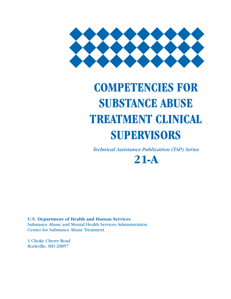

# **COMPETENCIES FOR SUBSTANCE ABUSE TREATMENT CLINICAL SUPERVISORS**

*Technical Assistance Publication (TAP) Series*

**21-A**

**U.S. Department of Health and Human Services** Substance Abuse and Mental Health Services Administration Center for Substance Abuse Treatment

1 Choke Cherry Road Rockville, MD 20857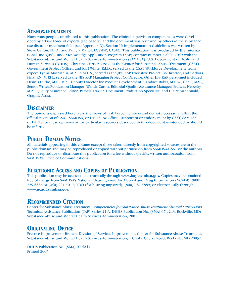### **ACKNOWLEDGMENTS**

Numerous people contributed to this publication. The clinical supervision competencies were developed by a Task Force of experts (see page v), and the document was reviewed by others in the substance use disorder treatment field (see Appendix D). Section II: Implementation Guidelines was written by Steve Gallon, Ph.D., and Pamela Mattel, LCSW-R, CASAC. This publication was produced by JBS International, Inc. (JBS), under Knowledge Application Program (KAP) contract number 270-04-7049 with the Substance Abuse and Mental Health Services Administration (SAMHSA), U.S. Department of Health and Human Services (DHHS). Christina Currier served as the Center for Substance Abuse Treatment (CSAT) Government Project Officer, and Karl White, Ed.D., served as the CSAT Workforce Development Team expert. Lynne MacArthur, M.A., A.M.L.S., served as the JBS KAP Executive Project Co-Director, and Barbara Fink, RN, M.P.H., served as the JBS KAP Managing Project Co-Director. Other JBS KAP personnel included Dennis Burke, M.S., M.A., Deputy Director for Product Development; Candace Baker, M.S.W., CSAC, MAC, Senior Writer/Publication Manager; Wendy Caron, Editorial Quality Assurance Manager; Frances Nebesky, M.A., Quality Assurance Editor; Pamela Frazier, Document Production Specialist; and Claire Macdonald, Graphic Artist.

## **DISCLAIMER**

The opinions expressed herein are the views of Task Force members and do not necessarily reflect the official position of CSAT, SAMHSA, or DHHS. No official support of or endorsement by CSAT, SAMHSA, or DHHS for these opinions or for particular resources described in this document is intended or should be inferred.

# **PUBLIC DOMAIN NOTICE**

All materials appearing in this volume except those taken directly from copyrighted sources are in the public domain and may be reproduced or copied without permission from SAMHSA/CSAT or the authors. Do not reproduce or distribute this publication for a fee without specific, written authorization from SAMHSA's Office of Communications.

## **ELECTRONIC ACCESS AND COPIES OF PUBLICATION**

This publication may be accessed electronically through **www.kap.samhsa.gov.** Copies may be obtained free of charge from SAMHSA's National Clearinghouse for Alcohol and Drug Information (NCADI), (800) 729-6686 or (240) 221-4017; TDD (for hearing impaired), (800) 487-4889; or electronically through **www.ncadi.samhsa.gov.**

# **RECOMMENDED CITATION**

Center for Substance Abuse Treatment. *Competencies for Substance Abuse Treatment Clinical Supervisors*. Technical Assistance Publication (TAP) Series 21-A. DHHS Publication No. (SMA) 07-4243. Rockville, MD: Substance Abuse and Mental Health Services Administration, 2007.

# **ORIGINATING OFFICE**

Practice Improvement Branch, Division of Services Improvement, Center for Substance Abuse Treatment, Substance Abuse and Mental Health Services Administration, 1 Choke Cherry Road, Rockville, MD 20857.

DHHS Publication No. (SMA) 07-4243 Printed 2007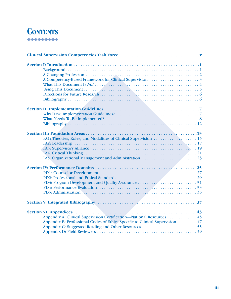# **CONTENTS**

| Appendix A: Clinical Supervision Certification—National Resources 45         |  |
|------------------------------------------------------------------------------|--|
| Appendix B: Professional Codes of Ethics Specific to Clinical Supervision 47 |  |
|                                                                              |  |
|                                                                              |  |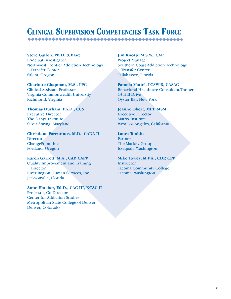# **CLINICAL SUPERVISION COMPETENCIES TASK FORCE**

**Steve Gallon, Ph.D. (Chair)** Principal Investigator Northwest Frontier Addiction Technology Transfer Center Salem, Oregon

**Charlotte Chapman, M.S., LPC** Clinical Assistant Professor Virginia Commonwealth University Richmond, Virginia

**Thomas Durham, Ph.D., CCS** Executive Director The Danya Institute Silver Spring, Maryland

**Christiane Farentinos, M.D., CADA II Director** ChangePoint, Inc. Portland, Oregon

**Karen Garrett, M.A., CAP, CAPP** Quality Improvement and Training **Director** River Region Human Services, Inc. Jacksonville, Florida

**Anne Hatcher, Ed.D., CAC III, NCAC II** Professor, Co-Director Center for Addiction Studies Metropolitan State College of Denver Denver, Colorado

**Jim Knorp, M.S.W., CAP**

Project Manager Southern Coast Addiction Technology Transfer Center Tallahassee, Florida

**Pamela Mattel, LCSW-R, CASAC** Behavioral Healthcare Consultant/Trainer 13 Hill Drive Oyster Bay, New York

**Jeanne Obert, MFT, MSM** Executive Director Matrix Institute West Los Angeles, California

**Laura Tonkin** Partner The Mackey Group Issaquah, Washington

**Mike Towey, M.P.A., CDP, CPP Instructor** Tacoma Community College Tacoma, Washington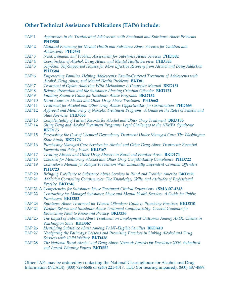## **Other Technical Assistance Publications (TAPs) include:**

| TAP <sub>1</sub> | Approaches in the Treatment of Adolescents with Emotional and Substance Abuse Problems<br><b>PHD580</b>                     |
|------------------|-----------------------------------------------------------------------------------------------------------------------------|
| TAP <sub>2</sub> | Medicaid Financing for Mental Health and Substance Abuse Services for Children and<br>Adolescents PHD581                    |
| TAP <sub>3</sub> | Need, Demand, and Problem Assessment for Substance Abuse Services PHD582                                                    |
| TAP <sub>4</sub> | Coordination of Alcohol, Drug Abuse, and Mental Health Services PHD583                                                      |
| TAP <sub>5</sub> | Self-Run, Self-Supported Houses for More Effective Recovery from Alcohol and Drug Addiction                                 |
|                  | <b>PHD584</b>                                                                                                               |
| TAP <sub>6</sub> | Empowering Families, Helping Adolescents: Family-Centered Treatment of Adolescents with                                     |
|                  | Alcohol, Drug Abuse, and Mental Health Problems BKD81                                                                       |
| TAP <sub>7</sub> | Treatment of Opiate Addiction With Methadone: A Counselor Manual BKD151                                                     |
| TAP <sub>8</sub> | Relapse Prevention and the Substance-Abusing Criminal Offender BKD121                                                       |
| TAP <sub>9</sub> | Funding Resource Guide for Substance Abuse Programs BKD152                                                                  |
| <b>TAP 10</b>    | Rural Issues in Alcohol and Other Drug Abuse Treatment PHD662                                                               |
| <b>TAP 11</b>    | Treatment for Alcohol and Other Drug Abuse: Opportunities for Coordination PHD663                                           |
| <b>TAP 12</b>    | Approval and Monitoring of Narcotic Treatment Programs: A Guide on the Roles of Federal and<br><b>State Agencies PHD666</b> |
| <b>TAP 13</b>    | Confidentiality of Patient Records for Alcohol and Other Drug Treatment BKD156                                              |
| <b>TAP 14</b>    | Siting Drug and Alcohol Treatment Programs: Legal Challenges to the NIMBY Syndrome                                          |
|                  | <b>BKD175</b>                                                                                                               |
| <b>TAP 15</b>    | Forecasting the Cost of Chemical Dependency Treatment Under Managed Care: The Washington<br><b>State Study BKD176</b>       |
| <b>TAP 16</b>    | Purchasing Managed Care Services for Alcohol and Other Drug Abuse Treatment: Essential<br>Elements and Policy Issues BKD167 |
| <b>TAP 17</b>    | Treating Alcohol and Other Drug Abusers in Rural and Frontier Areas BKD174                                                  |
| <b>TAP 18</b>    | Checklist for Monitoring Alcohol and Other Drug Confidentiality Compliance PHD722                                           |
| <b>TAP 19</b>    | Counselor's Manual for Relapse Prevention With Chemically Dependent Criminal Offenders                                      |
|                  | <b>PHD723</b>                                                                                                               |
| <b>TAP 20</b>    | Bringing Excellence to Substance Abuse Services in Rural and Frontier America BKD220                                        |
| <b>TAP 21</b>    | Addiction Counseling Competencies: The Knowledge, Skills, and Attitudes of Professional<br>Practice BKD246                  |
|                  | TAP 21-A Competencies for Substance Abuse Treatment Clinical Supervisors (SMA)07-4243                                       |
| <b>TAP 22</b>    | Contracting for Managed Substance Abuse and Mental Health Services: A Guide for Public                                      |
|                  | Purchasers BKD252                                                                                                           |
| <b>TAP 23</b>    | Substance Abuse Treatment for Women Offenders: Guide to Promising Practices BKD310                                          |
| <b>TAP 24</b>    | Welfare Reform and Substance Abuse Treatment Confidentiality: General Guidance for                                          |
|                  | Reconciling Need to Know and Privacy BKD336                                                                                 |
| <b>TAP 25</b>    | The Impact of Substance Abuse Treatment on Employment Outcomes Among AFDC Clients in                                        |
|                  | <b>Washington State BKD367</b>                                                                                              |
| <b>TAP 26</b>    | Identifying Substance Abuse Among TANF-Eligible Families BKD410                                                             |
| <b>TAP 27</b>    | Navigating the Pathways: Lessons and Promising Practices in Linking Alcohol and Drug<br>Services with Child Welfare BKD436  |
| <b>TAP 28</b>    | The National Rural Alcohol and Drug Abuse Network Awards for Excellence 2004, Submitted                                     |
|                  | and Award-Winning Papers BKD552                                                                                             |

Other TAPs may be ordered by contacting the National Clearinghouse for Alcohol and Drug Information (NCADI), (800) 729-6686 or (240) 221-4017, TDD (for hearing impaired), (800) 487-4889.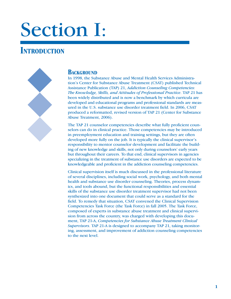# Section I:

# **INTRODUCTION**



#### **BACKGROUND**

In 1998, the Substance Abuse and Mental Health Services Administration's Center for Substance Abuse Treatment (CSAT) published Technical Assistance Publication (TAP) 21, *Addiction Counseling Competencies: The Knowledge, Skills, and Attitudes of Professional Practice*. TAP 21 has been widely distributed and is now a benchmark by which curricula are developed and educational programs and professional standards are measured in the U.S. substance use disorder treatment field. In 2006, CSAT produced a reformatted, revised version of TAP 21 (Center for Substance Abuse Treatment, 2006).

The TAP 21 counselor competencies describe what fully proficient counselors can do in clinical practice. Those competencies may be introduced in preemployment education and training settings, but they are often developed more fully on the job. It is typically the clinical supervisor's responsibility to mentor counselor development and facilitate the building of new knowledge and skills, not only during counselors' early years but throughout their careers. To that end, clinical supervisors in agencies specializing in the treatment of substance use disorders are expected to be knowledgeable and proficient in the addiction counseling competencies.

Clinical supervision itself is much discussed in the professional literature of several disciplines, including social work, psychology, and both mental health and substance use disorder counseling. Theories, process dynamics, and tools abound, but the functional responsibilities and essential skills of the substance use disorder treatment supervisor had not been synthesized into one document that could serve as a standard for the field. To remedy that situation, CSAT convened the Clinical Supervision Competencies Task Force (the Task Force) in fall 2005. The Task Force, composed of experts in substance abuse treatment and clinical supervision from across the country, was charged with developing this document, TAP 21-A, *Competencies for Substance Abuse Treatment Clinical Supervisors*. TAP 21-A is designed to accompany TAP 21, taking monitoring, assessment, and improvement of addiction counseling competencies to the next level.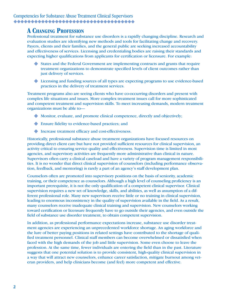## **A CHANGING PROFESSION**

Professional treatment for substance use disorders is a rapidly changing discipline. Research and evaluation studies are identifying new methods and tools for facilitating change and recovery. Payers, clients and their families, and the general public are seeking increased accountability and effectiveness of services. Licensing and credentialing bodies are raising their standards and expecting higher qualifications from applicants for certification or licensure. For example:

- States and the Federal Government are implementing contracts and grants that require X treatment organizations to demonstrate specified levels of client outcomes rather than just delivery of services.
- Licensing and funding sources of all types are expecting programs to use evidence-based X practices in the delivery of treatment services.

Treatment programs also are seeing clients who have co-occurring disorders and present with complex life situations and issues. More complex treatment issues call for more sophisticated and competent treatment and supervision skills. To meet increasing demands, modern treatment organizations must be able to—

- Monitor, evaluate, and promote clinical competence, directly and objectively; X
- Ensure fidelity to evidence-based practices; and X
- $\blacklozenge$  Increase treatment efficacy and cost-effectiveness.

Historically, professional substance abuse treatment organizations have focused resources on providing direct client care but have not provided sufficient resources for clinical supervision, an activity critical to ensuring service quality and effectiveness. Supervision time is limited in most agencies, and supervisory activities are frequently more administrative than clinical in nature. Supervisors often carry a clinical caseload and have a variety of program management responsibilities. It is no wonder that direct clinical supervision of counselors (including performance observation, feedback, and mentoring) is rarely a part of an agency's staff development plan.

Counselors often are promoted into supervisory positions on the basis of seniority, academic training, or their competence as counselors. Although a high level of counseling proficiency is an important prerequisite, it is not the only qualification of a competent clinical supervisor. Clinical supervision requires a new set of knowledge, skills, and abilities, as well as assumption of a different professional role. Many new supervisors receive little or no training in clinical supervision, leading to enormous inconsistency in the quality of supervision available in the field. As a result, many counselors receive inadequate clinical training and supervision. New counselors working toward certification or licensure frequently have to go outside their agencies, and even outside the field of substance use disorder treatment, to obtain competent supervision.

In addition, as professional performance expectations increase, substance use disorder treatment agencies are experiencing an unprecedented workforce shortage. An aging workforce and the lure of better paying positions in related settings have contributed to the shortage of qualified treatment personnel. Clinical staff members can become overwhelmed or dissatisfied when faced with the high demands of the job and little supervision. Some even choose to leave the profession. At the same time, fewer individuals are entering the field than in the past. Literature suggests that one potential solution is to provide consistent, high-quality clinical supervision in a way that will attract new counselors, enhance career satisfaction, mitigate burnout among veteran providers, and help clinicians become (and feel) more competent and effective.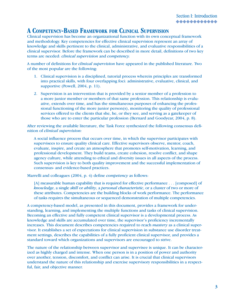# **A COMPETENCY-BASED FRAMEWORK FOR CLINICAL SUPERVISION**

Clinical supervision has become an organizational function with its own conceptual framework and methodology. Key competencies for effective clinical supervision represent an array of knowledge and skills pertinent to the clinical, administrative, and evaluative responsibilities of a clinical supervisor. Before the framework can be described in more detail, definitions of two key terms are needed: *clinical supervision* and *competency.*

A number of definitions for *clinical supervision* have appeared in the published literature. Two of the most popular are the following:

- 1. Clinical supervision is a disciplined, tutorial process wherein principles are transformed into practical skills, with four overlapping foci: administrative, evaluative, clinical, and supportive (Powell, 2004, p. 11).
- 2. Supervision is an intervention that is provided by a senior member of a profession to a more junior member or members of that same profession. This relationship is evaluative, extends over time, and has the simultaneous purposes of enhancing the professional functioning of the more junior person(s), monitoring the quality of professional services offered to the clients that she, he, or they see, and serving as a gatekeeper of those who are to enter the particular profession (Bernard and Goodyear, 2004, p. 8).

After reviewing the available literature, the Task Force synthesized the following consensus definition of *clinical supervision:*

A social influence process that occurs over time, in which the supervisor participates with supervisees to ensure quality clinical care. Effective supervisors observe, mentor, coach, evaluate, inspire, and create an atmosphere that promotes self-motivation, learning, and professional development. They build teams, create cohesion, resolve conflict, and shape agency culture, while attending to ethical and diversity issues in all aspects of the process. Such supervision is key to both quality improvement and the successful implementation of consensus- and evidence-based practices.

Marrelli and colleagues (2004, p. 4) define *competency* as follows:

[A] measurable human capability that is required for effective performance . . . [composed] of *knowledge*, a single *skill* or *ability*, a *personal characteristic*, or a cluster of two or more of these attributes. Competencies are the building blocks of work performance. The performance of tasks requires the simultaneous or sequenced demonstration of multiple competencies.

A competency-based model, as presented in this document, provides a framework for understanding, learning, and implementing the multiple functions and tasks of clinical supervision. Becoming an effective and fully competent clinical supervisor is a developmental process. As knowledge and skills are accumulated over time, the supervisor's proficiency incrementally increases. This document describes competencies required to reach *mastery* as a clinical supervisor. It establishes a set of expectations for clinical supervision in substance use disorder treatment settings, describes the capabilities of a fully proficient clinical supervisor, and provides a standard toward which organizations and supervisors are encouraged to strive.

The nature of the relationship between supervisor and supervisee is unique. It can be characterized as highly charged and intense. When one person is in a position of power and authority over another, tension, discomfort, and conflict can arise. It is crucial that clinical supervisors understand the nature of this relationship and exercise supervisory responsibilities in a respectful, fair, and objective manner.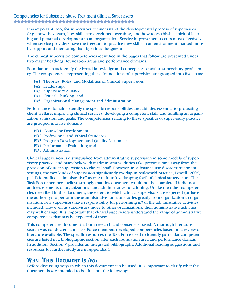It is important, too, for supervisors to understand the developmental process of supervisees (e.g., how they learn, how skills are developed over time) and how to establish a spirit of learning and personal development in an organization. Service improvement occurs most effectively when service providers have the freedom to practice new skills in an environment marked more by support and mentoring than by critical judgment.

The clinical supervision competencies identified in the pages that follow are presented under two major headings: foundation areas and performance domains.

Foundation areas identify the broad knowledge and concepts essential to supervisory proficiency. The competencies representing these foundations of supervision are grouped into five areas:

- FA1: Theories, Roles, and Modalities of Clinical Supervision;
- FA2: Leadership;
- FA3: Supervisory Alliance;
- FA4: Critical Thinking; and
- FA5: Organizational Management and Administration.

Performance domains identify the specific responsibilities and abilities essential to protecting client welfare, improving clinical services, developing a competent staff, and fulfilling an organization's mission and goals. The competencies relating to these specifics of supervisory practice are grouped into five domains:

PD1: Counselor Development; PD2: Professional and Ethical Standards; PD3: Program Development and Quality Assurance; PD4: Performance Evaluation; and PD5: Administration.

Clinical supervision is distinguished from administrative supervision in some models of supervisory practice, and many believe that administrative duties take precious time away from the provision of direct supervision to clinical staff. However, in substance use disorder treatment settings, the two kinds of supervision significantly overlap in real-world practice; Powell (2004, p. 11) identified "administrative" as one of four "overlapping foci" of clinical supervision. The Task Force members believe strongly that this document would not be complete if it did not address elements of organizational and administrative functioning. Unlike the other competencies described in this document, the extent to which clinical supervisors are expected (or have the authority) to perform the administrative functions varies greatly from organization to organization. Few supervisors have responsibility for performing *all* of the administrative activities included. However, as supervisors move to other organizations, their administrative activities may well change. It is important that clinical supervisors understand the range of administrative competencies that may be expected of them.

This competencies document is both research and consensus based. A thorough literature search was conducted, and Task Force members developed competencies based on a review of literature available. The specific resources the Task Force used to identify particular competencies are listed in a bibliographic section after each foundation area and performance domain. In addition, Section V provides an integrated bibliography. Additional reading suggestions and resources for further study are in Appendix C.

### **WHAT THIS DOCUMENT IS** *NOT*

Before discussing ways in which this document can be used, it is important to clarify what this document is *not* intended to be. It is not the following: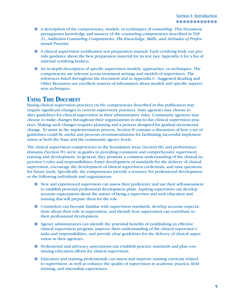- A description of the competencies, models, or techniques of *counseling*. This document X presupposes knowledge and mastery of the counseling competencies described in TAP 21, *Addiction Counseling Competencies: The Knowledge, Skills, and Attitudes of Professional Practice.*
- A clinical supervision certification test preparation manual. Each certifying body can pro-X vide guidance about the best preparation material for its test (see Appendix A for a list of national certifying bodies).
- An in-depth description of specific supervision models, approaches, or techniques. The X competencies are relevant across treatment settings and models of supervision. The references listed throughout the document and in Appendix C: Suggested Reading and Other Resources are excellent sources of information about models and specific supervision techniques.

## **USING THIS DOCUMENT**

Basing clinical supervision practices on the competencies described in this publication may require significant changes in current supervisory practices. State agencies may choose to alter guidelines for clinical supervision in their administrative rules. Community agencies may choose to make changes throughout their organizations in day-to-day clinical supervision practices. Making such changes requires planning and a process designed for gradual incremental change. To assist in the implementation process, Section II contains a discussion of how a set of guidelines could be useful and presents recommendations for facilitating successful implementation at both the State and the community agency levels.

The clinical supervision competencies in the foundation areas (Section III) and performance domains (Section IV) serve as guides to providing consistent and comprehensive supervisory training and development. In general, they promote a common understanding of the clinical supervisor's roles and responsibilities, foster development of standards for the delivery of clinical supervision, encourage the development of clinical supervision credentials, and raise questions for future study. Specifically, the competencies provide a resource for professional development to the following individuals and organizations:

- New and experienced supervisors can assess their proficiency and use their self-assessment X to establish personal professional development plans. Aspiring supervisors can develop accurate expectations about the nature of being a supervisor and seek education and training that will prepare them for the role.
- Counselors can become familiar with supervision standards, develop accurate expecta-X tions about their role in supervision, and identify how supervision can contribute to their professional development.
- Agency administrators can identify the potential benefits of establishing an effective X clinical supervision program, improve their understanding of the clinical supervisor's tasks and responsibilities, and provide clear guidelines for the delivery of clinical supervision in their agencies.
- Professional and advocacy associations can establish practice standards and plan con-X tinuing education efforts for clinical supervisors.
- Educators and training professionals can assess and improve existing curricula related Xto supervision, as well as enhance the quality of supervision in academic practica, field training, and internship experiences.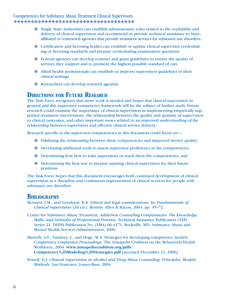# Competencies for Substance Abuse Treatment Clinical Supervisors

- Single State Authorities can establish administrative rules related to the availability and X delivery of clinical supervision and recommend or provide technical assistance to Stateaffiliated or contracted agencies that provide treatment services for substance use disorders.
- Certification and licensing bodies can establish or update clinical supervisor credential-X ing or licensing standards and prepare credentialing examination questions.
- ◆ Federal agencies can develop contract and grant guidelines to ensure the quality of services they support and to promote the highest possible standard of care.
- Allied health professionals can establish or improve supervision guidelines in their X clinical settings.
- Researchers can develop research agendas.

## **DIRECTIONS FOR FUTURE RESEARCH**

The Task Force recognizes that more work is needed and hopes that clinical supervision in general and this supervisor competency framework will be the subject of further study. Future research could examine the importance of clinical supervision in implementing empirically supported treatment interventions, the relationship between the quality and quantity of supervision to clinical outcomes, and other important issues related to an improved understanding of the relationship between supervision and effective clinical service delivery.

Research specific to the supervisor competencies in this document could focus on—

- $\blacklozenge$  Validating the relationship between these competencies and improved service quality;
- ◆ Developing additional tools to assess supervisor proficiency in the competencies;
- ◆ Determining how best to train supervisors or teach them the competencies; and
- ◆ Determining the best way to prepare aspiring clinical supervisors for their future positions.

The Task Force hopes that this document encourages both continued development of clinical supervision as a discipline and continuous improvement of clinical services for people with substance use disorders.

### **BIBLIOGRAPHY**

Bernard, J.M., and Goodyear, R.K. Ethical and legal considerations. In: *Fundamentals of Clinical Supervision* (3d ed.). Boston: Allyn & Bacon, 2004. pp. 49–72.

Center for Substance Abuse Treatment. *Addiction Counseling Competencies: The Knowledge, Skills, and Attitudes of Professional Practice.* Technical Assistance Publication (TAP) Series 21. DHHS Publication No. (SMA) 06-4171. Rockville, MD: Substance Abuse and Mental Health Services Administration, 2006.

Marrelli, A.F., Tondora, J., and Hoge, M.A. Strategies for developing competency models. *Competency Conference Proceedings.* The Annapolis Coalition on the Behavioral Health Workforce, 2004. **www.annapoliscoalition.org/pdfs/ Competency%20Modeling%20Strategies.pdf** [accessed December 12, 2006].

Powell, D.J. *Clinical Supervision in Alcohol and Drug Abuse Counseling: Principles, Models, Methods.* San Francisco: Jossey-Bass, 2004.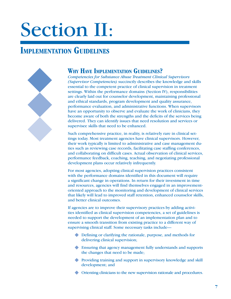# Section II:

# **IMPLEMENTATION GUIDELINES**



## **WHY HAVE IMPLEMENTATION GUIDELINES?**

*Competencies for Substance Abuse Treatment Clinical Supervisors (Supervisor Competencies)* succinctly describes the knowledge and skills essential to the competent practice of clinical supervision in treatment settings. Within the performance domains (Section IV), responsibilities are clearly laid out for counselor development, maintaining professional and ethical standards, program development and quality assurance, performance evaluation, and administrative functions. When supervisors have an opportunity to observe and evaluate the work of clinicians, they become aware of both the strengths and the deficits of the services being delivered. They can identify issues that need resolution and services or supervisee skills that need to be enhanced.

Such comprehensive practice, in reality, is relatively rare in clinical settings today. Most treatment agencies have clinical supervisors. However, their work typically is limited to administrative and case management duties such as reviewing case records, facilitating case staffing conferences, and collaborating on difficult cases. Actual observation of clinical services, performance feedback, coaching, teaching, and negotiating professional development plans occur relatively infrequently.

For most agencies, adopting clinical supervision practices consistent with the performance domains identified in this document will require a significant change in operations. In return for their investment in time and resources, agencies will find themselves engaged in an improvementoriented approach to the monitoring and development of clinical services that likely will lead to improved staff retention, enhanced counselor skills, and better clinical outcomes.

If agencies are to improve their supervisory practices by adding activities identified as clinical supervision competencies, a set of guidelines is needed to support the development of an implementation plan and to ensure a smooth transition from existing practice to a different way of supervising clinical staff. Some necessary tasks include—

- ◆ Defining or clarifying the rationale, purpose, and methods for delivering clinical supervision;
- Ensuring that agency management fully understands and supports X the changes that need to be made;
- ◆ Providing training and support in supervisory knowledge and skill development; and
- Orienting clinicians to the new supervision rationale and procedures. X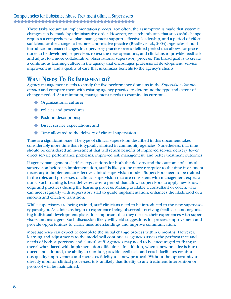These tasks require an implementation *process*. Too often, the assumption is made that systemic changes can be made by administrative order. However, research indicates that successful change requires a comprehensive plan, management support, effective leadership, and a period of effort sufficient for the change to become a normative practice (Bradley et al., 2004). Agencies should introduce and enact changes in supervisory practice over a defined period that allows for procedures to be developed, supervisors to test the new operations, and clinicians to provide feedback and adjust to a more collaborative, observational supervisory process. The broad goal is to create a continuous learning culture in the agency that encourages professional development, service improvement, and a quality of care that maximizes benefits to the agency's clients.

# **WHAT NEEDS TO BE IMPLEMENTED?**

Agency management needs to study the five performance domains in the *Supervisor Competencies* and compare them with existing agency practice to determine the type and extent of change needed. At a minimum, management needs to examine its current—

- ◆ Organizational culture;
- $\blacklozenge$  Policies and procedures;
- ◆ Position descriptions;
- ◆ Direct service expectations; and
- Time allocated to the delivery of clinical supervision. X

Time is a significant issue. The type of clinical supervision described in this document takes considerably more time than is typically allotted in community agencies. Nonetheless, that time should be considered an investment that will return benefits of improved service delivery, fewer direct service performance problems, improved risk management, and better treatment outcomes.

If agency management clarifies expectations for both the delivery and the outcome of clinical supervision before its implementation, staff is likely to be more receptive to the time investment necessary to implement an effective clinical supervision model. Supervisors need to be trained in the roles and processes of clinical supervision that are consistent with management expectations. Such training is best delivered over a period that allows supervisors to apply new knowledge and practices during the learning process. Making available a consultant or coach, who can meet regularly with supervisory staff to guide implementation, enhances the likelihood of a smooth and effective transition.

While supervisors are being trained, staff clinicians need to be introduced to the new supervisory paradigm. As clinicians begin to experience being observed, receiving feedback, and negotiating individual development plans, it is important that they discuss their experiences with supervisors and managers. Such discussion likely will yield suggestions for process improvement and provide opportunities to clarify misunderstandings and improve communication.

Most agencies can expect to complete the initial change process within 6 months. However, learning and adjustments to the model will continue as agencies assess the performance and needs of both supervisors and clinical staff. Agencies may need to be encouraged to "hang in there" when faced with implementation difficulties. In addition, when a new practice is introduced and adopted, the ability to monitor, provide feedback, and coach facilitates continuous quality improvement and increases fidelity to a new protocol. Without the opportunity to directly monitor clinical processes, it is unlikely that fidelity to any treatment intervention or protocol will be maintained.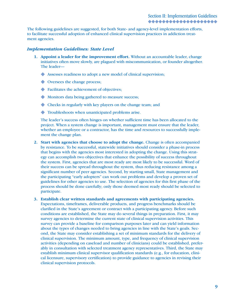The following guidelines are suggested, for both State- and agency-level implementation efforts, to facilitate successful adoption of enhanced clinical supervision practices in addiction treatment agencies.

#### *Implementation Guidelines: State Level*

- **1. Appoint a leader for the improvement effort.** Without an accountable leader, change initiatives often move slowly, are plagued with miscommunication, or founder altogether. The leader—
	- Assesses readiness to adopt a new model of clinical supervision; X
	- $\blacklozenge$  Oversees the change process;
	- Facilitates the achievement of objectives; X
	- Monitors data being gathered to measure success; X
	- Checks in regularly with key players on the change team; and X
	- Troubleshoots when unanticipated problems arise. X

 The leader's success often hinges on whether sufficient time has been allocated to the project. When a system change is important, management must ensure that the leader, whether an employee or a contractor, has the time and resources to successfully implement the change plan.

- **2. Start with agencies that choose to adopt the change.** Change is often accompanied by resistance. To be successful, statewide initiatives should consider a phase-in process that begins with the agencies most interested in adopting the change. Using this strategy can accomplish two objectives that enhance the possibility of success throughout the system. First, agencies that are most ready are most likely to be successful. Word of their success can be spread throughout the system, thus reducing resistance among a significant number of peer agencies. Second, by starting small, State management and the participating "early adopters" can work out problems and develop a proven set of guidelines for other agencies to use. The selection of agencies for this first phase of the process should be done carefully; only those deemed most ready should be selected to participate.
- **3. Establish clear written standards and agreements with participating agencies.**  Expectations, timeframes, deliverable products, and progress benchmarks should be clarified in the State's agreement or contract with a participating agency. Before such conditions are established, the State may do several things in preparation. First, it may survey agencies to determine the current state of clinical supervision activities. This survey can provide a baseline for comparison purposes later and can yield information about the types of changes needed to bring agencies in line with the State's goals. Second, the State may consider establishing a set of minimum standards for the delivery of clinical supervision. The minimum amount, type, and frequency of clinical supervision activities (depending on caseload and number of clinicians) could be established, preferably in consultation with selected treatment agency representatives. Third, the State may establish minimum clinical supervisor qualification standards (e.g., for education, clinical licensure, supervisory certification) to provide guidance to agencies in revising their clinical supervision protocols.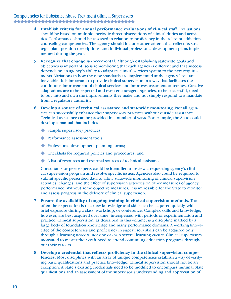- **4. Establish criteria for annual performance evaluations of clinical staff.** Evaluations should be based on multiple, periodic direct observations of clinical duties and activities. Performance should be assessed in relation to proficiency in the relevant addiction counseling competencies. The agency should include other criteria that reflect its strategic plan, position descriptions, and individual professional development plans implemented during the year.
- **5. Recognize that change is incremental.** Although establishing statewide goals and objectives is important, so is remembering that each agency is different and that success depends on an agency's ability to adapt its clinical services system to the new requirements. Variations in how the new standards are implemented at the agency level are inevitable. It is important to provide clinical supervision in a way that facilitates the continuous improvement of clinical services and improves treatment outcomes. Creative adaptations are to be expected and even encouraged. Agencies, to be successful, need to buy into and own the improvements they make and not simply respond to a mandate from a regulatory authority.
- **6. Develop a source of technical assistance and statewide monitoring.** Not all agencies can successfully enhance their supervisory practices without outside assistance. Technical assistance can be provided in a number of ways. For example, the State could develop a manual that includes—
	- Sample supervisory practices;
	- ◆ Performance assessment tools;
	- Professional development planning forms; X
	- Checklists for required policies and procedures; and X
	- A list of resources and external sources of technical assistance.

 Consultants or peer experts could be identified to review a requesting agency's clinical supervision program and resolve specific issues. Agencies also could be required to submit specific prescribed data to allow statewide monitoring of clinical supervision activities, changes, and the effect of supervision activities on other measures of agency performance. Without some objective measures, it is impossible for the State to monitor and assess progress in the delivery of clinical supervision.

- **7. Ensure the availability of ongoing training in clinical supervision methods.** Too often the expectation is that new knowledge and skills can be acquired quickly, with brief exposure during a class, workshop, or conference. Complex skills and knowledge, however, are best acquired over time, interspersed with periods of experimentation and practice. Clinical supervision, as described in this volume, is a discipline marked by a large body of foundation knowledge and many performance domains. A working knowledge of the competencies and proficiency in supervisory skills can be acquired only through a learning *process*, not one or even several learning *events*. Clinical supervisors motivated to master their craft need to attend continuing education programs throughout their careers.
- **8. Develop a credential that reflects proficiency in the clinical supervision competencies.** Most disciplines with an array of unique competencies establish a way of verifying basic qualifications and practice knowledge. Clinical supervision should not be an exception. A State's existing credentials need to be modified to encompass minimal State qualifications and an assessment of the supervisor's understanding and appreciation of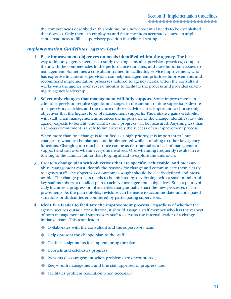the competencies described in this volume, or a new credential needs to be established that does so. Only then can employers and State monitors accurately assess an applicant's readiness to fill a supervisory position in a clinical setting.

#### *Implementation Guidelines: Agency Level*

- **1. Base improvement objectives on needs identified within the agency.** The best way to identify agency needs is to study existing clinical supervision practices, compare them with the competencies in the performance domains, and note important issues to management. Sometimes a consultant trained in facilitating service improvement, who has expertise in clinical supervision, can help management prioritize improvements and recommend implementation processes tailored to agency needs. Often the consultant works with the agency over several months to facilitate the process and provides coaching to agency leadership.
- **2. Select only changes that management will fully support.** Some improvements in clinical supervision require significant changes in the amount of time supervisors devote to supervisory activities and the nature of those activities. It is important to choose only objectives that the highest level of management supports. The initiative gains credibility with staff when management announces the importance of the change, identifies how the agency expects to benefit, and clarifies how progress will be measured. Anything less than a serious commitment is likely to limit severely the success of an improvement process.

 When more than one change is identified as a high priority, it is important to limit changes to what can be planned and implemented while attending to other key agency functions. Changing too much at once can be as detrimental as a lack of management support and can overwhelm everyone involved. Overwhelming frequently results in returning to the familiar rather than forging ahead to explore the unknown.

- **3. Create a change plan with objectives that are specific, achievable, and measurable.** Management must identify the reasons for change and communicate them clearly to agency staff. The objectives or outcomes sought should be clearly defined and measurable. The change process needs to be initiated by developing, with a small number of key staff members, a detailed plan to achieve management's objectives. Such a plan typically includes a progression of activities that gradually enact the new processes or improvements. As the plan unfolds, revisions can be made to accommodate unanticipated situations or difficulties encountered by participating supervisors.
- **4. Identify a leader to facilitate the improvement process.** Regardless of whether the agency secures outside consultation, it should assign a staff member who has the respect of both management and supervisory staff to serve as the internal leader of a change initiative team. This team leader—
	- $\blacklozenge$  Collaborates with the consultant and the supervisory team;
	- Helps present the change plan to the staff;
	- Clarifies assignments for implementing the plan; X
	- $\blacklozenge$  Debriefs and celebrates progress;
	- Prevents discouragement when problems are encountered; X
	- Keeps both management and line staff apprised of progress; and X
	- Facilitates problem resolution when necessary. X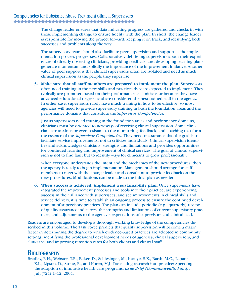The change leader ensures that data indicating progress are gathered and checks in with those implementing change to ensure fidelity with the plan. In short, the change leader is responsible for moving the project forward, keeping it on track, and identifying both successes and problems along the way.

 The supervisory team should also facilitate peer supervision and support as the implementation process progresses. Collaboratively debriefing supervisors about their experiences of directly observing clinicians, providing feedback, and developing learning plans generate momentum and solidify the importance of the improvement initiative. Another value of peer support is that clinical supervisors often are isolated and need as much clinical supervision as the people they supervise.

**5. Make sure that all staff members are prepared to implement the plan.** Supervisors often need training in the new skills and practices they are expected to implement. They typically are promoted based on their performance as clinicians or because they have advanced educational degrees and are considered the best-trained staff in the agency. In either case, supervisors rarely have much training in how to be effective, so most agencies will need to provide supervisory training in both the foundation areas and the performance domains that constitute the *Supervisor Competencies.*

 Just as supervisors need training in the foundation areas and performance domains, clinicians must be oriented to new ways of receiving clinical supervision. Some clinicians are anxious or even resistant to the monitoring, feedback, and coaching that form the essence of the *Supervisor Competencies.* They need reassurance that the goal is to facilitate service improvements, not to criticize individuals. Clinical supervision identifies and acknowledges clinicians' strengths and limitations and provides opportunities for continued learning and improvement of clinical services. The goal of clinical supervision is not to find fault but to identify ways for clinicians to grow professionally.

 When everyone understands the intent and the mechanics of the new procedures, then the agency is ready to begin implementation. Management should arrange for staff members to meet with the change leader and consultant to provide feedback on the new procedures. Modifications can be made to the initial plan as needed.

**6. When success is achieved, implement a sustainability plan.** Once supervisors have integrated the improvement processes and tools into their practice, are experiencing success in their alliance with supervisees, and see improvements in clinical skills and service delivery, it is time to establish an ongoing process to ensure the continued development of supervisory practices. The plan can include periodic (e.g., quarterly) review of quality assurance indicators, the strengths and limitations of current supervisory practices, and adjustments to the agency's expectations of supervisors and clinical staff.

Readers are encouraged to develop a thorough working knowledge of the competencies described in this volume. The Task Force predicts that quality supervision will become a major factor in determining the degree to which evidence-based practices are adopted in community settings; identifying the professional development needs of agencies, clinical supervisors, and clinicians; and improving retention rates for both clients and clinical staff.

### **BIBLIOGRAPHY**

Bradley, E.H., Webster, T.R., Baker, D., Schlesinger, M., Inouye, S.K., Barth, M.C., Lapane, K.L., Lipson, D., Stone, R., and Koren, M.J. Translating research into practice: Speeding the adoption of innovative health care programs. *Issue Brief (Commonwealth Fund)*, July(724):1–12, 2004.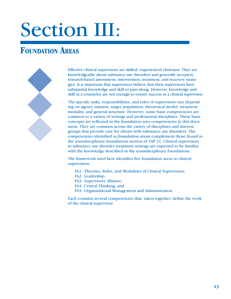# Section III:

# **FOUNDATION AREAS**



Effective clinical supervisors are skilled, experienced clinicians. They are knowledgeable about substance use disorders and generally accepted, research-based assessment, intervention, treatment, and recovery strategies. It is important that supervisees believe that their supervisors have substantial knowledge and skill to pass along. However, knowledge and skill as a counselor are not enough to ensure success as a clinical supervisor.

The specific tasks, responsibilities, and roles of supervisors vary depending on agency mission, target population, theoretical model, treatment modality, and general structure. However, some basic competencies are common to a variety of settings and professional disciplines. These basic concepts are reflected in the foundation area competencies in this document. They are common across the variety of disciplines and interest groups that provide care for clients with substance use disorders. The competencies identified as *foundation areas* complement those found in the transdisciplinary foundations section of TAP 21. Clinical supervisors in substance use disorder treatment settings are expected to be familiar with the knowledge described in the transdisciplinary foundations.

The framework used here identifies five foundation areas in clinical supervision:

- FA1: Theories, Roles, and Modalities of Clinical Supervision;
- FA2: Leadership;
- FA3: Supervisory Alliance;
- FA4: Critical Thinking; and
- FA5: Organizational Management and Administration.

Each contains several competencies that, taken together, define the work of the clinical supervisor.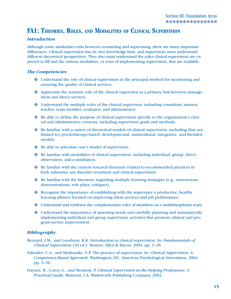## **FA1: THEORIES, ROLES, AND MODALITIES OF CLINICAL SUPERVISION**

#### *Introduction*

Although some similarities exist between counseling and supervising, there are many important differences. Clinical supervision has its own knowledge base, and supervisors must understand different theoretical perspectives. They also must understand the roles clinical supervisors are expected to fill and the various modalities, or ways of implementing supervision, that are available.

#### *The Competencies*

- Understand the role of clinical supervision as the principal method for monitoring and X ensuring the quality of clinical services.
- Appreciate the systemic role of the clinical supervisor as a primary link between manage-X ment and direct services.
- Understand the multiple roles of the clinical supervisor, including consultant, mentor, X teacher, team member, evaluator, and administrator.
- ◆ Be able to define the purpose of clinical supervision specific to the organization's clinical and administrative contexts, including supervisory goals and methods.
- ◆ Be familiar with a variety of theoretical models of clinical supervision, including (but not limited to) psychotherapy-based, developmental, multicultural, integrative, and blended models.
- ◆ Be able to articulate one's model of supervision.
- ◆ Be familiar with modalities of clinical supervision, including individual, group, direct observation, and consultation.
- ◆ Be familiar with the current research literature related to recommended practices in both substance use disorder treatment and clinical supervision.
- ◆ Be familiar with the literature regarding multiple learning strategies (e.g., instructions, demonstrations, role plays, critiques).
- ◆ Recognize the importance of establishing with the supervisee a productive, healthy learning alliance focused on improving client services and job performance.
- Understand and reinforce the complementary roles of members on a multidisciplinary team. X
- Understand the importance of assessing needs and carefully planning and systematically Ximplementing individual and group supervisory activities that promote clinical and program service improvement.

#### *Bibliography*

- Bernard, J.M., and Goodyear, R.K. Introduction to clinical supervision. In: *Fundamentals of Clinical Supervision* (3d ed.). Boston: Allyn & Bacon, 2004. pp. 1–18.
- Falender, C.A., and Shafranske, E.P. The practice of supervision. In: *Clinical Supervision: A Competency-Based Approach.* Washington, DC: American Psychological Association, 2004. pp. 3–36.
- Haynes, R., Corey, G., and Moulton, P. *Clinical Supervision in the Helping Professions: A Practical Guide.* Belmont, CA: Wadsworth Publishing Company, 2002.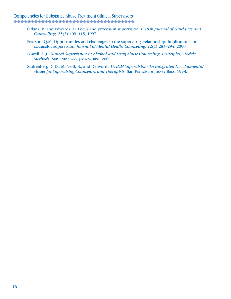# Competencies for Substance Abuse Treatment Clinical Supervisors

- Orlans, V., and Edwards, D. Focus and process in supervision. *British Journal of Guidance and Counselling,* 25(3):409–415, 1997.
- Pearson, Q.M. Opportunities and challenges in the supervisory relationship: Implications for counselor supervision. *Journal of Mental Health Counseling,* 22(4):283–294, 2000.
- Powell, D.J. *Clinical Supervision in Alcohol and Drug Abuse Counseling: Principles, Models, Methods.* San Francisco: Jossey-Bass, 2004.
- Stoltenberg, C.D., McNeill, B., and Delworth, U. *IDM Supervision: An Integrated Developmental Model for Supervising Counselors and Therapists.* San Francisco: Jossey-Bass, 1998.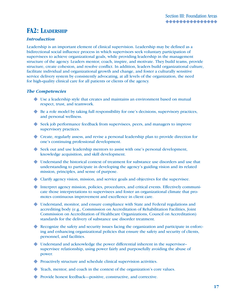## **FA2: LEADERSHIP**

#### *Introduction*

Leadership is an important element of clinical supervision. Leadership may be defined as a bidirectional social influence process in which supervisors seek voluntary participation of supervisees to achieve organizational goals, while providing leadership in the management structure of the agency. Leaders mentor, coach, inspire, and motivate. They build teams, provide structure, create cohesion, and resolve conflict. In addition, leaders build organizational culture, facilitate individual and organizational growth and change, and foster a culturally sensitive service delivery system by consistently advocating, at all levels of the organization, the need for high-quality clinical care for all patients or clients of the agency.

#### *The Competencies*

- Use a leadership style that creates and maintains an environment based on mutual X respect, trust, and teamwork.
- ◆ Be a role model by taking full responsibility for one's decisions, supervisory practices, and personal wellness.
- ◆ Seek job performance feedback from supervisees, peers, and managers to improve supervisory practices.
- Create, regularly assess, and revise a personal leadership plan to provide direction for X one's continuing professional development.
- ◆ Seek out and use leadership mentors to assist with one's personal development, knowledge acquisition, and skill development.
- Understand the historical context of treatment for substance use disorders and use that X understanding to participate in developing the agency's guiding vision and its related mission, principles, and sense of purpose.
- Clarify agency vision, mission, and service goals and objectives for the supervisee. X
- Interpret agency mission, policies, procedures, and critical events. Effectively communi-X cate those interpretations to supervisees and foster an organizational climate that promotes continuous improvement and excellence in client care.
- Understand, monitor, and ensure compliance with State and Federal regulations and X accrediting body (e.g., Commission on Accreditation of Rehabilitation Facilities, Joint Commission on Accreditation of Healthcare Organizations, Council on Accreditation) standards for the delivery of substance use disorder treatment.
- Recognize the safety and security issues facing the organization and participate in enforcing and enhancing organizational policies that ensure the safety and security of clients, personnel, and facilities.
- ◆ Understand and acknowledge the power differential inherent in the supervisor– supervisee relationship, using power fairly and purposefully avoiding the abuse of power.
- ◆ Proactively structure and schedule clinical supervision activities.
- Teach, mentor, and coach in the context of the organization's core values. X
- ◆ Provide honest feedback—positive, constructive, and corrective.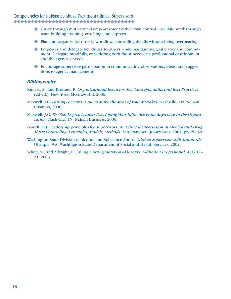- Guide through motivational empowerment rather than control. Facilitate work through X team building, training, coaching, and support.
- ◆ Plan and organize for orderly workflow, controlling details without being overbearing.
- Empower and delegate key duties to others while maintaining goal clarity and commit-X ment. Delegate mindfully, considering both the supervisee's professional development and the agency's needs.
- Encourage supervisee participation in communicating observations, ideas, and sugges-Xtions to agency management.

#### *Bibliography*

- Kinicki, A., and Kreitner, R. *Organizational Behavior: Key Concepts, Skills and Best Practices* (2d ed.). New York: McGraw-Hill, 2006.
- Maxwell, J.C. *Failing Forward: How to Make the Most of Your Mistakes.* Nashville, TN: Nelson Business, 2000.
- Maxwell, J.C. *The 360 Degree Leader: Developing Your Influence From Anywhere in the Organization.* Nashville, TN: Nelson Business, 2006.
- Powell, D.J. Leadership principles for supervisors. In: *Clinical Supervision in Alcohol and Drug Abuse Counseling: Principles, Models, Methods.* San Francisco: Jossey-Bass, 2004. pp. 20–39.
- Washington State Division of Alcohol and Substance Abuse. *Clinical Supervisor Skill Standards.*  Olympia, WA: Washington State Department of Social and Health Services, 2002.
- White, W., and Albright, L. Calling a new generation of leaders. *Addiction Professional,* 4(1):12– 21, 2006.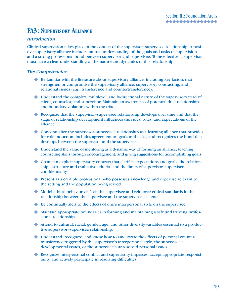# **FA3: SUPERVISORY ALLIANCE**

#### *Introduction*

Clinical supervision takes place in the context of the supervisor–supervisee relationship. A positive supervisory alliance includes mutual understanding of the goals and tasks of supervision and a strong professional bond between supervisor and supervisee. To be effective, a supervisor must have a clear understanding of the nature and dynamics of this relationship.

#### *The Competencies*

- ◆ Be familiar with the literature about supervisory alliance, including key factors that strengthen or compromise the supervisory alliance, supervisory contracting, and relational issues (e.g., transference and countertransference).
- Understand the complex, multilevel, and bidirectional nature of the supervisory triad of X client, counselor, and supervisor. Maintain an awareness of potential dual relationships and boundary violations within the triad.
- Recognize that the supervisor-supervisee relationship develops over time and that the stage of relationship development influences the rules, roles, and expectations of the alliance.
- ◆ Conceptualize the supervisor-supervisee relationship as a learning alliance that provides for role induction, includes agreement on goals and tasks, and recognizes the bond that develops between the supervisor and the supervisee.
- Understand the value of mentoring as a dynamic way of forming an alliance, teaching X counseling skills through encouragement, and giving suggestions for accomplishing goals.
- Create an explicit supervisory contract that clarifies expectations and goals, the relation-X ship's structure and evaluative criteria, and the limits of supervisor–supervisee confidentiality.
- Present as a credible professional who possesses knowledge and expertise relevant to X the setting and the population being served.
- $\blacklozenge$  Model ethical behavior vis-à-vis the supervisee and reinforce ethical standards in the relationship between the supervisee and the supervisee's clients.
- ◆ Be continually alert to the effects of one's interpersonal style on the supervisee.
- Maintain appropriate boundaries in forming and maintaining a safe and trusting profes-X sional relationship.
- Attend to cultural, racial, gender, age, and other diversity variables essential to a produc-X tive supervisor–supervisee relationship.
- Understand, recognize, and know how to ameliorate the effects of personal counter-X transference triggered by the supervisee's interpersonal style, the supervisee's developmental issues, or the supervisee's unresolved personal issues.
- Recognize interpersonal conflict and supervisory impasses, accept appropriate responsi-Xbility, and actively participate in resolving difficulties.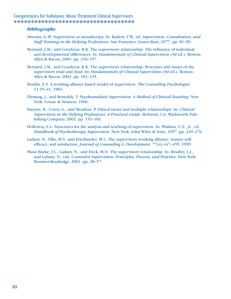#### *Bibliography*

- Abroms, G.M. Supervision as metatherapy. In: Kaslow, F.W., ed. *Supervision, Consultation, and Staff Training in the Helping Professions.* San Francisco: Jossey-Bass, 1977. pp. 81–99.
- Bernard, J.M., and Goodyear, R.K. The supervisory relationship: The influence of individual and developmental differences. In: *Fundamentals of Clinical Supervision* (3d ed.). Boston: Allyn & Bacon, 2004. pp. 136–157.
- Bernard, J.M., and Goodyear, R.K. The supervisory relationship: Processes and issues of the supervisory triad and dyad. In: *Fundamentals of Clinical Supervision* (3d ed.). Boston: Allyn & Bacon, 2004. pp. 101–135.
- Bordin, E.S. A working alliance based model of supervision. *The Counseling Psychologist,* 11:35–41, 1983.
- Fleming, J., and Benedek, T. *Psychoanalytic Supervision: A Method of Clinical Teaching.* New York: Grune & Stratton, 1966.
- Haynes, R., Corey, G., and Moulton, P. Ethical issues and multiple relationships. In: *Clinical Supervision in the Helping Professions: A Practical Guide.* Belmont, CA: Wadsworth Publishing Company, 2002. pp. 151–181.
- Holloway, E.L. Structures for the analysis and teaching of supervision. In: Watkins, C.E., Jr., ed. *Handbook of Psychotherapy Supervision.* New York: John Wiley & Sons, 1997. pp. 249–276.
- Ladany, N., Ellis, M.V., and Friedlander, M.L. The supervisory working alliance, trainee selfefficacy, and satisfaction. *Journal of Counseling & Development,* 77(4):447–455, 1999.
- Muse-Burke, J.L., Ladany, N., and Deck, M.D. The supervisory relationship. In: Bradley, L.J., and Ladany, N., eds. *Counselor Supervision: Principles, Process, and Practice.* New York: Brunner-Routledge, 2001. pp. 28–57.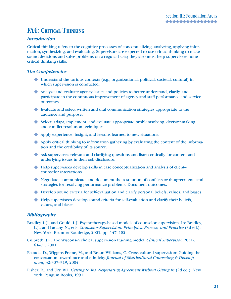# **FA4: CRITICAL THINKING**

#### *Introduction*

Critical thinking refers to the cognitive processes of conceptualizing, analyzing, applying information, synthesizing, and evaluating. Supervisors are expected to use critical thinking to make sound decisions and solve problems on a regular basis; they also must help supervisees hone critical thinking skills.

#### *The Competencies*

- Understand the various contexts (e.g., organizational, political, societal, cultural) in X which supervision is conducted.
- Analyze and evaluate agency issues and policies to better understand, clarify, and X participate in the continuous improvement of agency and staff performance and service outcomes.
- Evaluate and select written and oral communication strategies appropriate to the X audience and purpose.
- ◆ Select, adapt, implement, and evaluate appropriate problemsolving, decisionmaking, and conflict resolution techniques.
- Apply experience, insight, and lessons learned to new situations.
- Apply critical thinking to information gathering by evaluating the content of the informa-X tion and the credibility of its source.
- Ask supervisees relevant and clarifying questions and listen critically for content and X underlying issues in their self-disclosure.
- ◆ Help supervisees develop skills in case conceptualization and analysis of client– counselor interactions.
- Negotiate, communicate, and document the resolution of conflicts or disagreements and X strategies for resolving performance problems. Document outcomes.
- ◆ Develop sound criteria for self-evaluation and clarify personal beliefs, values, and biases.
- Help supervisees develop sound criteria for self-evaluation and clarify their beliefs, Xvalues, and biases.

#### *Bibliography*

- Bradley, L.J., and Gould, L.J. Psychotherapy-based models of counselor supervision. In: Bradley, L.J., and Ladany, N., eds. *Counselor Supervision: Principles, Process, and Practice* (3d ed.). New York: Brunner-Routledge, 2001. pp. 147–182.
- Culbreth, J.R. The Wisconsin clinical supervision training model. *Clinical Supervisor,* 20(1): 61–71, 2001.
- Estrada, D., Wiggins Frame, M., and Braun Williams, C. Cross-cultural supervision: Guiding the conversation toward race and ethnicity. *Journal of Multicultural Counseling & Development,* 32:307–319, 2004.
- Fisher, R., and Ury, W.L. *Getting to Yes: Negotiating Agreement Without Giving In (2d ed.)*. New York: Penguin Books, 1991.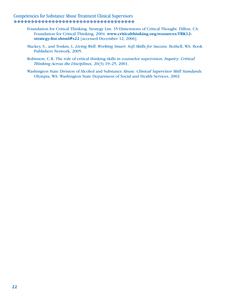# Competencies for Substance Abuse Treatment Clinical Supervisors

- Foundation for Critical Thinking. Strategy List: 35 Dimensions of Critical Thought. Dillon, CA: Foundation for Critical Thinking, 2004. **www.criticalthinking.org/resources/TRK12 strategy-list.shtml#s22** [accessed December 12, 2006].
- Mackey, S., and Tonkin, L. *Living Well, Working Smart: Soft Skills for Success.* Bothell, WA: Book Publishers Network, 2005.
- Robinson, C.R. The role of critical thinking skills in counselor supervision. *Inquiry: Critical Thinking Across the Disciplines,* 20(3):19–25, 2001.
- Washington State Division of Alcohol and Substance Abuse. *Clinical Supervisor Skill Standards.* Olympia, WA: Washington State Department of Social and Health Services, 2002.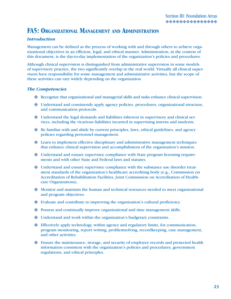# **FA5: ORGANIZATIONAL MANAGEMENT AND ADMINISTRATION**

#### *Introduction*

Management can be defined as the process of working with and through others to achieve organizational objectives in an efficient, legal, and ethical manner. Administration, in the context of this document, is the day-to-day implementation of the organization's policies and procedures.

Although clinical supervision is distinguished from administrative supervision in some models of supervisory practice, the two significantly overlap in the real world. Virtually all clinical supervisors have responsibility for some management and administrative activities, but the scope of these activities can vary widely depending on the organization.

#### *The Competencies*

- Recognize that organizational and managerial skills and tasks enhance clinical supervision. X
- Understand and consistently apply agency policies, procedures, organizational structure, X and communication protocols.
- Understand the legal demands and liabilities inherent in supervisory and clinical ser-X vices, including the vicarious liabilities incurred in supervising interns and students.
- ◆ Be familiar with and abide by current principles, laws, ethical guidelines, and agency policies regarding personnel management.
- ◆ Learn to implement effective disciplinary and administrative management techniques that enhance clinical supervision and accomplishment of the organization's mission.
- Understand and ensure supervisee compliance with State program licensing require-X ments and with other State and Federal laws and statutes.
- Understand and ensure supervisee compliance with the substance use disorder treat-X ment standards of the organization's healthcare accrediting body (e.g., Commission on Accreditation of Rehabilitation Facilities, Joint Commission on Accreditation of Healthcare Organizations).
- Monitor and maintain the human and technical resources needed to meet organizational X and program objectives.
- Evaluate and contribute to improving the organization's cultural proficiency. X
- ◆ Possess and continually improve organizational and time management skills.
- Understand and work within the organization's budgetary constraints. X
- Effectively apply technology, within agency and regulatory limits, for communication, X program monitoring, report writing, problemsolving, recordkeeping, case management, and other activities.
- ◆ Ensure the maintenance, storage, and security of employee records and protected health information consistent with the organization's policies and procedures, government regulations, and ethical principles.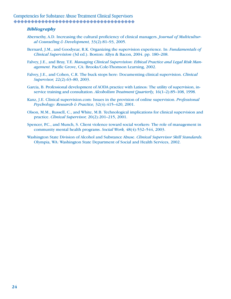#### *Bibliography*

- Abernethy, A.D. Increasing the cultural proficiency of clinical managers. *Journal of Multicultural Counseling & Development,* 33(2):81–93, 2005.
- Bernard, J.M., and Goodyear, R.K. Organizing the supervision experience. In: *Fundamentals of Clinical Supervision* (3d ed.). Boston: Allyn & Bacon, 2004. pp. 180–208.
- Falvey, J.E., and Bray, T.E. *Managing Clinical Supervision: Ethical Practice and Legal Risk Management.* Pacific Grove, CA: Brooks/Cole-Thomson Learning, 2002.
- Falvey, J.E., and Cohen, C.R. The buck stops here: Documenting clinical supervision. *Clinical Supervisor,* 22(2):63–80, 2003.
- Garcia, B. Professional development of AODA practice with Latinos: The utility of supervision, inservice training and consultation. *Alcoholism Treatment Quarterly,* 16(1–2):85–108, 1998.
- Kanz, J.E. Clinical supervision.com: Issues in the provision of online supervision. *Professional Psychology: Research & Practice,* 32(4):415–420, 2001.
- Olson, M.M., Russell, C., and White, M.B. Technological implications for clinical supervision and practice. *Clinical Supervisor,* 20(2):201–215, 2001.
- Spencer, P.C., and Munch, S. Client violence toward social workers: The role of management in community mental health programs. *Social Work,* 48(4):532–544, 2003.
- Washington State Division of Alcohol and Substance Abuse. *Clinical Supervisor Skill Standards.*  Olympia, WA: Washington State Department of Social and Health Services, 2002.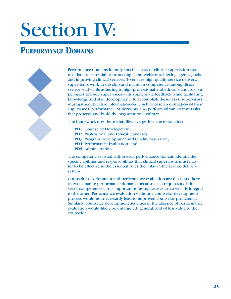# Section IV:

# **PERFORMANCE DOMAINS**



Performance domains identify specific areas of clinical supervision practice that are essential to protecting client welfare, achieving agency goals, and improving clinical services. To ensure high-quality service delivery, supervisors work to develop and maintain competence among direct service staff while adhering to high professional and ethical standards. Supervisors provide supervisees with appropriate feedback while facilitating knowledge and skill development. To accomplish these tasks, supervisors must gather objective information on which to base an evaluation of their supervisees' performance. Supervisors also perform administrative tasks that preserve and build the organizational culture.

The framework used here identifies five performance domains:

- PD1: Counselor Development;
- PD2: Professional and Ethical Standards;
- PD3: Program Development and Quality Assurance;
- PD4: Performance Evaluation; and
- PD5: Administration.

The competencies listed within each performance domain identify the specific abilities and responsibilities that clinical supervisors must master to be effective in the essential roles they play in the service delivery system.

Counselor development and performance evaluation are discussed here as two separate performance domains because each requires a distinct set of competencies. It is important to note, however, that each is integral to the other. Performance evaluation without a counselor development process would not necessarily lead to improved counselor proficiency. Similarly, counselor development activities in the absence of performance evaluation would likely be untargeted, general, and of less value to the counselor.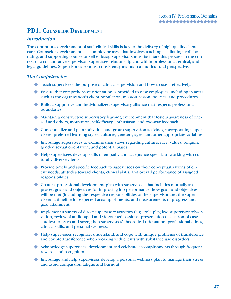# **PD1: COUNSELOR DEVELOPMENT**

#### *Introduction*

The continuous development of staff clinical skills is key to the delivery of high-quality client care. Counselor development is a complex process that involves teaching, facilitating, collaborating, and supporting counselor self-efficacy. Supervisors must facilitate this process in the context of a collaborative supervisor–supervisee relationship and within professional, ethical, and legal guidelines. Supervisors also must consistently maintain a multicultural perspective.

#### *The Competencies*

- Teach supervisees the purpose of clinical supervision and how to use it effectively. X
- Ensure that comprehensive orientation is provided to new employees, including in areas X such as the organization's client population, mission, vision, policies, and procedures.
- ◆ Build a supportive and individualized supervisory alliance that respects professional boundaries.
- Maintain a constructive supervisory learning environment that fosters awareness of one-X self and others, motivation, self-efficacy, enthusiasm, and two-way feedback.
- Conceptualize and plan individual and group supervision activities, incorporating super-X visees' preferred learning styles, cultures, genders, ages, and other appropriate variables.
- Encourage supervisees to examine their views regarding culture, race, values, religion, X gender, sexual orientation, and potential biases.
- Help supervisees develop skills of empathy and acceptance specific to working with cul-X turally diverse clients.
- Provide timely and specific feedback to supervisees on their conceptualizations of cli-X ent needs, attitudes toward clients, clinical skills, and overall performance of assigned responsibilities.
- Create a professional development plan with supervisees that includes mutually ap-X proved goals and objectives for improving job performance, how goals and objectives will be met (including the respective responsibilities of the supervisor and the supervisee), a timeline for expected accomplishments, and measurements of progress and goal attainment.
- Implement a variety of direct supervisory activities (e.g., role play, live supervision/obser-X vation, review of audiotaped and videotaped sessions, presentation/discussion of case studies) to teach and strengthen supervisees' theoretical orientation, professional ethics, clinical skills, and personal wellness.
- Help supervisees recognize, understand, and cope with unique problems of transference X and countertransference when working with clients with substance use disorders.
- Acknowledge supervisees' development and celebrate accomplishments through frequent X rewards and recognition.
- Encourage and help supervisees develop a personal wellness plan to manage their stress Xand avoid compassion fatigue and burnout.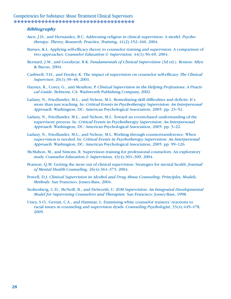#### *Bibliography*

- Aten, J.D., and Hernandez, B.C. Addressing religion in clinical supervision: A model. *Psychotherapy: Theory, Research, Practice, Training,* 41(2):152–160, 2004.
- Barnes, K.L. Applying self-efficacy theory to counselor training and supervision: A comparison of two approaches. *Counselor Education & Supervision,* 44(1):56–69, 2004.
- Bernard, J.M., and Goodyear, R.K. *Fundamentals of Clinical Supervision* (3d ed.). Boston: Allyn & Bacon, 2004.
- Cashwell, T.H., and Dooley, K. The impact of supervision on counselor self-efficacy. *The Clinical Supervisor,* 20(1):39–48, 2001.
- Haynes, R., Corey, G., and Moulton, P. *Clinical Supervision in the Helping Professions: A Practical Guide.* Belmont, CA: Wadsworth Publishing Company, 2002.
- Ladany, N., Friedlander, M.L., and Nelson, M.L. Remediating skill difficulties and deficits: It's more than just teaching. In: *Critical Events in Psychotherapy Supervision: An Interpersonal Approach.* Washington, DC: American Psychological Association, 2005. pp. 23–52.
- Ladany, N., Friedlander, M.L., and Nelson, M.L. Toward an events-based understanding of the supervisory process. In: *Critical Events in Psychotherapy Supervision: An Interpersonal Approach.* Washington, DC: American Psychological Association, 2005. pp. 3–22.
- Ladany, N., Friedlander, M.L., and Nelson, M.L. Working through countertransference: When super-vision is needed. In: *Critical Events in Psychotherapy Supervision: An Interpersonal Approach.* Washington, DC: American Psychological Association, 2005. pp. 99–126.
- McMahon, M., and Simons, R. Supervision training for professional counselors: An exploratory study. *Counselor Education & Supervision,* 43(4):301–309, 2004.
- Pearson, Q.M. Getting the most out of clinical supervision: Strategies for mental health. *Journal of Mental Health Counseling,* 26(4):361–373, 2004.
- Powell, D.J. *Clinical Supervision in Alcohol and Drug Abuse Counseling: Principles, Models, Methods.* San Francisco: Jossey-Bass, 2004.
- Stoltenberg, C.D., McNeill, B., and Delworth, U. *IDM Supervision: An Integrated Developmental Model for Supervising Counselors and Therapists.* San Francisco: Jossey-Bass, 1998.
- Utsey, S.O., Gernat, C.A., and Hammar, L. Examining white counselor trainees' reactions to racial issues in counseling and supervision dyads. *Counseling Psychologist,* 33(4):449–478, 2005.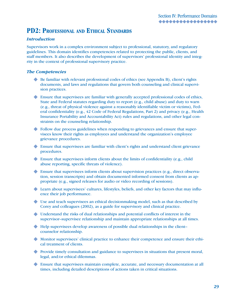# **PD2: PROFESSIONAL AND ETHICAL STANDARDS**

#### *Introduction*

Supervisors work in a complex environment subject to professional, statutory, and regulatory guidelines. This domain identifies competencies related to protecting the public, clients, and staff members. It also describes the development of supervisors' professional identity and integrity in the context of professional supervisory practice.

#### *The Competencies*

- ◆ Be familiar with relevant professional codes of ethics (see Appendix B), client's rights documents, and laws and regulations that govern both counseling and clinical supervision practices.
- Ensure that supervisees are familiar with generally accepted professional codes of ethics, X State and Federal statutes regarding duty to report (e.g., child abuse) and duty to warn (e.g., threat of physical violence against a reasonably identifiable victim or victims), Federal confidentiality (e.g., 42 Code of Federal Regulations, Part 2) and privacy (e.g., Health Insurance Portability and Accountability Act) rules and regulations, and other legal constraints on the counseling relationship.
- Follow due process guidelines when responding to grievances and ensure that super-X visees know their rights as employees and understand the organization's employee grievance procedures.
- ◆ Ensure that supervisees are familiar with client's rights and understand client grievance procedures.
- Ensure that supervisees inform clients about the limits of confidentiality (e.g., child X abuse reporting, specific threats of violence).
- Ensure that supervisees inform clients about supervision practices (e.g., direct observa-X tion, session transcripts) and obtain documented informed consent from clients as appropriate (e.g., signed releases for audio or video recording of sessions).
- Learn about supervisees' cultures, lifestyles, beliefs, and other key factors that may influ-X ence their job performance.
- Use and teach supervisees an ethical decisionmaking model, such as that described by X Corey and colleagues (2002), as a guide for supervisory and clinical practice.
- Understand the risks of dual relationships and potential conflicts of interest in the X supervisor–supervisee relationship and maintain appropriate relationships at all times.
- ◆ Help supervisees develop awareness of possible dual relationships in the client– counselor relationship.
- Monitor supervisees' clinical practice to enhance their competence and ensure their ethi-X cal treatment of clients.
- ◆ Provide timely consultation and guidance to supervisees in situations that present moral, legal, and/or ethical dilemmas.
- Ensure that supervisees maintain complete, accurate, and necessary documentation at all Xtimes, including detailed descriptions of actions taken in critical situations.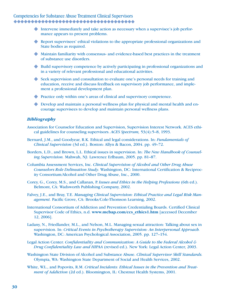- Intervene immediately and take action as necessary when a supervisee's job perfor-X mance appears to present problems.
- Report supervisees' ethical violations to the appropriate professional organizations and State bodies as required.
- Maintain familiarity with consensus- and evidence-based best practices in the treatment X of substance use disorders.
- Build supervisory competence by actively participating in professional organizations and X in a variety of relevant professional and educational activities.
- ◆ Seek supervision and consultation to evaluate one's personal needs for training and education, receive and discuss feedback on supervisory job performance, and implement a professional development plan.
- ◆ Practice only within one's areas of clinical and supervisory competence.
- Develop and maintain a personal wellness plan for physical and mental health and en-Xcourage supervisees to develop and maintain personal wellness plans.

#### *Bibliography*

- Association for Counselor Education and Supervision, Supervision Interest Network. ACES ethical guidelines for counseling supervisors. *ACES Spectrum,* 53(4):5–8, 1993.
- Bernard, J.M., and Goodyear, R.K. Ethical and legal considerations. In: *Fundamentals of Clinical Supervision* (3d ed.). Boston: Allyn & Bacon, 2004. pp. 49–72.
- Borders, L.D., and Brown, L.L. Ethical issues in supervision. In: *The New Handbook of Counseling Supervision.* Mahwah, NJ: Lawrence Erlbaum, 2005. pp. 81–87.
- Columbia Assessment Services, Inc. *Clinical Supervision of Alcohol and Other Drug Abuse Counselors Role Delineation Study.* Washington, DC: International Certification & Reciprocity Consortium/Alcohol and Other Drug Abuse, Inc., 2000.
- Corey, G., Corey, M.S., and Callanan, P. *Issues and Ethics in the Helping Professions* (6th ed.). Belmont, CA: Wadsworth Publishing Company, 2002.
- Falvey, J.E., and Bray, T.E. *Managing Clinical Supervision: Ethical Practice and Legal Risk Management.* Pacific Grove, CA: Brooks/Cole-Thomson Learning, 2002.
- International Consortium of Addiction and Prevention Credentialing Boards. Certified Clinical Supervisor Code of Ethics, n.d. **www.mcbap.com/ccs\_ethics1.htm** [accessed December 12, 2006].
- Ladany, N., Friedlander, M.L., and Nelson, M.L. Managing sexual attraction: Talking about sex in supervision. In: *Critical Events in Psychotherapy Supervision: An Interpersonal Approach.* Washington, DC: American Psychological Association, 2005. pp. 127–154.
- Legal Action Center. *Confidentiality and Communication: A Guide to the Federal Alcohol & Drug Confidentiality Law and HIPAA* (revised ed.). New York: Legal Action Center, 2003.
- Washington State Division of Alcohol and Substance Abuse. *Clinical Supervisor Skill Standards.*  Olympia, WA: Washington State Department of Social and Health Services, 2002.
- White, W.L., and Popovits, R.M. *Critical Incidents: Ethical Issues in the Prevention and Treatment of Addiction* (2d ed.). Bloomington, IL: Chestnut Health Systems, 2001.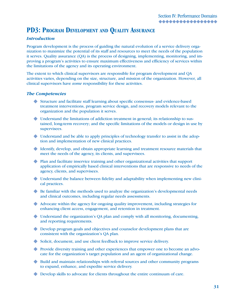# **PD3: PROGRAM DEVELOPMENT AND QUALITY ASSURANCE**

#### *Introduction*

Program development is the process of guiding the natural evolution of a service delivery organization to maximize the potential of its staff and resources to meet the needs of the population it serves. Quality assurance (QA) is the process of designing, implementing, monitoring, and improving a program's activities to ensure maximum effectiveness and efficiency of services within the limitations of the agency and its operating environment.

The extent to which clinical supervisors are responsible for program development and QA activities varies, depending on the size, structure, and mission of the organization. However, all clinical supervisors have *some* responsibility for these activities.

#### *The Competencies*

- Structure and facilitate staff learning about specific consensus- and evidence-based X treatment interventions, program service design, and recovery models relevant to the organization and the population it serves.
- Understand the limitations of addiction treatment in general; its relationship to sus-X tained, long-term recovery; and the specific limitations of the models or design in use by supervisees.
- Understand and be able to apply principles of technology transfer to assist in the adop-X tion and implementation of new clinical practices.
- Identify, develop, and obtain appropriate learning and treatment resource materials that X meet the needs of the agency, its clients, and supervisees.
- Plan and facilitate inservice training and other organizational activities that support X application of empirically based clinical interventions that are responsive to needs of the agency, clients, and supervisees.
- Understand the balance between fidelity and adaptability when implementing new clini-X cal practices.
- ◆ Be familiar with the methods used to analyze the organization's developmental needs and clinical outcomes, including regular needs assessments.
- Advocate within the agency for ongoing quality improvement, including strategies for X enhancing client access, engagement, and retention in treatment.
- Understand the organization's QA plan and comply with all monitoring, documenting, X and reporting requirements.
- ◆ Develop program goals and objectives and counselor development plans that are consistent with the organization's QA plan.
- ◆ Solicit, document, and use client feedback to improve service delivery.
- Provide diversity training and other experiences that empower one to become an advo-X cate for the organization's target population and an agent of organizational change.
- ◆ Build and maintain relationships with referral sources and other community programs to expand, enhance, and expedite service delivery.
- ◆ Develop skills to advocate for clients throughout the entire continuum of care.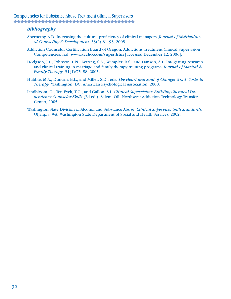#### *Bibliography*

- Abernethy, A.D. Increasing the cultural proficiency of clinical managers. *Journal of Multicultural Counseling & Development,* 33(2):81–93, 2005.
- Addiction Counselor Certification Board of Oregon. Addictions Treatment Clinical Supervision Competencies. n.d. **www.accbo.com/super.htm** [accessed December 12, 2006].
- Hodgson, J.L., Johnson, L.N., Ketring, S.A., Wampler, R.S., and Lamson, A.L. Integrating research and clinical training in marriage and family therapy training programs. *Journal of Marital & Family Therapy,* 31(1):75–88, 2005.
- Hubble, M.A., Duncan, B.L., and Miller, S.D., eds. *The Heart and Soul of Change: What Works in Therapy.* Washington, DC: American Psychological Association, 2000.
- Lindbloom, G., Ten Eyck, T.G., and Gallon, S.L. *Clinical Supervision: Building Chemical Dependency Counselor Skills* (3d ed.). Salem, OR: Northwest Addiction Technology Transfer Center, 2005.
- Washington State Division of Alcohol and Substance Abuse. *Clinical Supervisor Skill Standards.* Olympia, WA: Washington State Department of Social and Health Services, 2002.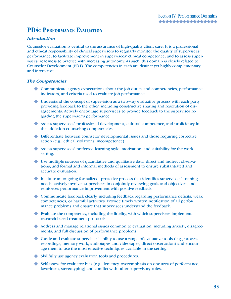# **PD4: PERFORMANCE EVALUATION**

#### *Introduction*

Counselor evaluation is central to the assurance of high-quality client care. It is a professional and ethical responsibility of clinical supervisors to regularly monitor the quality of supervisees' performance, to facilitate improvement in supervisees' clinical competence, and to assess supervisees' readiness to practice with increasing autonomy. As such, this domain is closely related to Counselor Development (PD1). The competencies in each are distinct yet highly complementary and interactive.

#### *The Competencies*

- Communicate agency expectations about the job duties and competencies, performance X indicators, and criteria used to evaluate job performance.
- Understand the concept of supervision as a two-way evaluative process with each party X providing feedback to the other, including constructive sharing and resolution of disagreements. Actively encourage supervisees to provide feedback to the supervisor regarding the supervisor's performance.
- Assess supervisees' professional development, cultural competence, and proficiency in X the addiction counseling competencies.
- Differentiate between counselor developmental issues and those requiring corrective X action (e.g., ethical violations, incompetence).
- Assess supervisees' preferred learning style, motivation, and suitability for the work X setting.
- Use multiple sources of quantitative and qualitative data, direct and indirect observa-X tions, and formal and informal methods of assessment to ensure substantiated and accurate evaluation.
- Institute an ongoing formalized, proactive process that identifies supervisees' training X needs, actively involves supervisees in conjointly reviewing goals and objectives, and reinforces performance improvement with positive feedback.
- Communicate feedback clearly, including feedback regarding performance deficits, weak X competencies, or harmful activities. Provide timely written notification of all performance problems and ensure that supervisees understand the feedback.
- Evaluate the competency, including the fidelity, with which supervisees implement X research-based treatment protocols.
- Address and manage relational issues common to evaluation, including anxiety, disagree-X ments, and full discussion of performance problems.
- Guide and evaluate supervisees' ability to use a range of evaluative tools (e.g., process X recordings, memory work, audiotapes and videotapes, direct observation) and encourage them to use the most effective techniques available in the setting.
- Skillfully use agency evaluation tools and procedures. X
- Self-assess for evaluator bias (e.g., leniency, overemphasis on one area of performance, Xfavoritism, stereotyping) and conflict with other supervisory roles.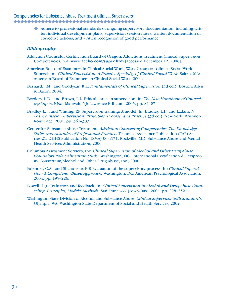Adhere to professional standards of ongoing supervisory documentation, including writ-Xten individual development plans, supervision session notes, written documentation of corrective actions, and written recognition of good performance.

#### *Bibliography*

- Addiction Counselor Certification Board of Oregon. Addictions Treatment Clinical Supervision Competencies, n.d. **www.accbo.com/super.htm** [accessed December 12, 2006].
- American Board of Examiners in Clinical Social Work, Work Group on Clinical Social Work Supervision. *Clinical Supervision: A Practice Specialty of Clinical Social Work.* Salem, MA: American Board of Examiners in Clinical Social Work, 2004.
- Bernard, J.M., and Goodyear, R.K. *Fundamentals of Clinical Supervision* (3d ed.). Boston: Allyn & Bacon, 2004.
- Borders, L.D., and Brown, L.L. Ethical issues in supervision. In: *The New Handbook of Counseling Supervision.* Mahwah, NJ: Lawrence Erlbaum, 2005. pp. 81–87.
- Bradley, L.J., and Whiting, P.P. Supervision training: A model. In: Bradley, L.J., and Ladany, N., eds. *Counselor Supervision: Principles, Process, and Practice* (3d ed.). New York: Brunner-Routledge, 2001. pp. 361–387.
- Center for Substance Abuse Treatment. *Addiction Counseling Competencies: The Knowledge, Skills, and Attitudes of Professional Practice.* Technical Assistance Publication (TAP) Series 21. DHHS Publication No. (SMA) 06-4171. Rockville, MD: Substance Abuse and Mental Health Services Administration, 2006.
- Columbia Assessment Services, Inc. *Clinical Supervision of Alcohol and Other Drug Abuse Counselors Role Delineation Study.* Washington, DC: International Certification & Reciprocity Consortium/Alcohol and Other Drug Abuse, Inc., 2000.
- Falender, C.A., and Shafranske, E.P. Evaluation of the supervisory process. In: *Clinical Supervision: A Competency-Based Approach.* Washington, DC: American Psychological Association, 2004. pp. 195–226.
- Powell, D.J. Evaluation and feedback. In: *Clinical Supervision in Alcohol and Drug Abuse Counseling: Principles, Models, Methods.* San Francisco: Jossey-Bass, 2004. pp. 228–252.
- Washington State Division of Alcohol and Substance Abuse. *Clinical Supervisor Skill Standards.*  Olympia, WA: Washington State Department of Social and Health Services, 2002.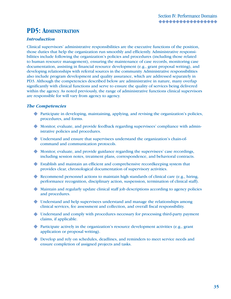## **PD5: ADMINISTRATION**

#### *Introduction*

Clinical supervisors' administrative responsibilities are the executive functions of the position, those duties that help the organization run smoothly and efficiently. Administrative responsibilities include following the organization's policies and procedures (including those related to human resource management), ensuring the maintenance of case records, monitoring case documentation, assisting in financial resource development (e.g., grant proposal writing), and developing relationships with referral sources in the community. Administrative responsibilities also include program development and quality assurance, which are addressed separately in PD3. Although the competencies described below are administrative in nature, many overlap significantly with clinical functions and serve to ensure the quality of services being delivered within the agency. As noted previously, the range of administrative functions clinical supervisors are responsible for will vary from agency to agency.

#### *The Competencies*

- ◆ Participate in developing, maintaining, applying, and revising the organization's policies, procedures, and forms.
- Monitor, evaluate, and provide feedback regarding supervisees' compliance with admin-X istrative policies and procedures.
- Understand and ensure that supervisees understand the organization's chain-of-X command and communication protocols.
- Monitor, evaluate, and provide guidance regarding the supervisees' case recordings, X including session notes, treatment plans, correspondence, and behavioral contracts.
- Establish and maintain an efficient and comprehensive recordkeeping system that X provides clear, chronological documentation of supervisory activities.
- ◆ Recommend personnel actions to maintain high standards of clinical care (e.g., hiring, performance recognition, disciplinary action, suspension, termination of clinical staff).
- Maintain and regularly update clinical staff job descriptions according to agency policies X and procedures.
- Understand and help supervisees understand and manage the relationships among X clinical services, fee assessment and collection, and overall fiscal responsibility.
- Understand and comply with procedures necessary for processing third-party payment X claims, if applicable.
- ◆ Participate actively in the organization's resource development activities (e.g., grant application or proposal writing).
- Develop and rely on schedules, deadlines, and reminders to meet service needs and Xensure completion of assigned projects and tasks.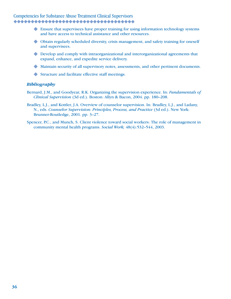- ◆ Ensure that supervisees have proper training for using information technology systems and have access to technical assistance and other resources.
- Obtain regularly scheduled diversity, crisis management, and safety training for oneself X and supervisees.
- ◆ Develop and comply with intraorganizational and interorganizational agreements that expand, enhance, and expedite service delivery.
- Maintain security of all supervisory notes, assessments, and other pertinent documents. X
- ◆ Structure and facilitate effective staff meetings.

#### *Bibliography*

- Bernard, J.M., and Goodyear, R.K. Organizing the supervision experience. In: *Fundamentals of Clinical Supervision* (3d ed.). Boston: Allyn & Bacon, 2004. pp. 180–208.
- Bradley, L.J., and Kottler, J.A. Overview of counselor supervision. In: Bradley, L.J., and Ladany, N., eds. *Counselor Supervision: Principles, Process, and Practice* (3d ed.). New York: Brunner-Routledge, 2001. pp. 3–27.
- Spencer, P.C., and Munch, S. Client violence toward social workers: The role of management in community mental health programs. *Social Work,* 48(4):532–544, 2003.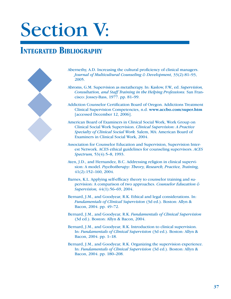# Section V:

# **INTEGRATED BIBLIOGRAPHY**



Abernethy, A.D. Increasing the cultural proficiency of clinical managers. *Journal of Multicultural Counseling & Development,* 33(2):81–93, 2005.

- Abroms, G.M. Supervision as metatherapy. In: Kaslow, F.W., ed. *Supervision, Consultation, and Staff Training in the Helping Professions.* San Francisco: Jossey-Bass, 1977. pp. 81–99.
- Addiction Counselor Certification Board of Oregon. Addictions Treatment Clinical Supervision Competencies, n.d. **www.accbo.com/super.htm** [accessed December 12, 2006].
- American Board of Examiners in Clinical Social Work, Work Group on Clinical Social Work Supervision. *Clinical Supervision: A Practice Specialty of Clinical Social Work.* Salem, MA: American Board of Examiners in Clinical Social Work, 2004.
- Association for Counselor Education and Supervision, Supervision Interest Network. ACES ethical guidelines for counseling supervisors. *ACES Spectrum,* 53(4):5–8, 1993.
- Aten, J.D., and Hernandez, B.C. Addressing religion in clinical supervision: A model. *Psychotherapy: Theory, Research, Practice, Training,*  41(2):152–160, 2004.
- Barnes, K.L. Applying self-efficacy theory to counselor training and supervision: A comparison of two approaches. *Counselor Education & Supervision,* 44(1):56–69, 2004.
- Bernard, J.M., and Goodyear, R.K. Ethical and legal considerations. In: *Fundamentals of Clinical Supervision* (3d ed.). Boston: Allyn & Bacon, 2004. pp. 49–72.
- Bernard, J.M., and Goodyear, R.K. *Fundamentals of Clinical Supervision*  (3d ed.). Boston: Allyn & Bacon, 2004.
- Bernard, J.M., and Goodyear, R.K. Introduction to clinical supervision. In: *Fundamentals of Clinical Supervision* (3d ed.). Boston: Allyn & Bacon, 2004. pp. 1–18.
- Bernard, J.M., and Goodyear, R.K. Organizing the supervision experience. In: *Fundamentals of Clinical Supervision* (3d ed.). Boston: Allyn & Bacon, 2004. pp. 180–208.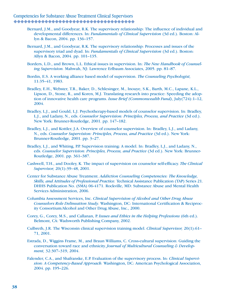- Bernard, J.M., and Goodyear, R.K. The supervisory relationship: The influence of individual and developmental differences. In: *Fundamentals of Clinical Supervision* (3d ed.). Boston: Allyn & Bacon, 2004. pp. 136–157.
- Bernard, J.M., and Goodyear, R.K. The supervisory relationship: Processes and issues of the supervisory triad and dyad. In: *Fundamentals of Clinical Supervision* (3d ed.). Boston: Allyn & Bacon, 2004. pp. 101–135.
- Borders, L.D., and Brown, L.L. Ethical issues in supervision. In: *The New Handbook of Counseling Supervision.* Mahwah, NJ: Lawrence Erlbaum Associates, 2005. pp. 81–87.
- Bordin, E.S. A working alliance based model of supervision. *The Counseling Psychologist,*  11:35–41, 1983.
- Bradley, E.H., Webster, T.R., Baker, D., Schlesinger, M., Inouye, S.K., Barth, M.C., Lapane, K.L., Lipson, D., Stone, R., and Koren, M.J. Translating research into practice: Speeding the adoption of innovative health care programs. *Issue Brief (Commonwealth Fund),* July(724):1–12, 2004.
- Bradley, L.J., and Gould, L.J. Psychotherapy-based models of counselor supervision. In: Bradley, L.J., and Ladany, N., eds. *Counselor Supervision: Principles, Process, and Practice* (3d ed.). New York: Brunner-Routledge, 2001. pp. 147–182.
- Bradley, L.J., and Kottler, J.A. Overview of counselor supervision. In: Bradley, L.J., and Ladany, N., eds. *Counselor Supervision: Principles, Process, and Practice* (3d ed.). New York: Brunner-Routledge, 2001. pp. 3–27.
- Bradley, L.J., and Whiting, P.P. Supervision training: A model. In: Bradley, L.J., and Ladany, N., eds. *Counselor Supervision: Principles, Process, and Practice* (3d ed.). New York: Brunner-Routledge, 2001. pp. 361–387.
- Cashwell, T.H., and Dooley, K. The impact of supervision on counselor self-efficacy. *The Clinical Supervisor,* 20(1):39–48, 2001.
- Center for Substance Abuse Treatment. *Addiction Counseling Competencies: The Knowledge, Skills, and Attitudes of Professional Practice.* Technical Assistance Publication (TAP) Series 21. DHHS Publication No. (SMA) 06-4171. Rockville, MD: Substance Abuse and Mental Health Services Administration, 2006.
- Columbia Assessment Services, Inc. *Clinical Supervision of Alcohol and Other Drug Abuse Counselors Role Delineation Study.* Washington, DC: International Certification & Reciprocity Consortium/Alcohol and Other Drug Abuse, Inc., 2000.
- Corey, G., Corey, M.S., and Callanan, P. *Issues and Ethics in the Helping Professions* (6th ed.). Belmont, CA: Wadsworth Publishing Company, 2002.
- Culbreth, J.R. The Wisconsin clinical supervision training model. *Clinical Supervisor,* 20(1):61– 71, 2001.
- Estrada, D., Wiggins Frame, M., and Braun Williams, C. Cross-cultural supervision: Guiding the conversation toward race and ethnicity. *Journal of Multicultural Counseling & Development,* 32:307–319, 2004.
- Falender, C.A., and Shafranske, E.P. Evaluation of the supervisory process. In: *Clinical Supervision: A Competency-Based Approach.* Washington, DC: American Psychological Association, 2004. pp. 195–226.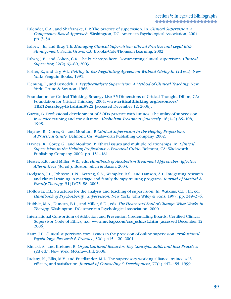- Falender, C.A., and Shafranske, E.P. The practice of supervision. In: *Clinical Supervision: A Competency-Based Approach.* Washington, DC: American Psychological Association, 2004. pp. 3–36.
- Falvey, J.E., and Bray, T.E. *Managing Clinical Supervision: Ethical Practice and Legal Risk Management.* Pacific Grove, CA: Brooks/Cole-Thomson Learning, 2002.
- Falvey, J.E., and Cohen, C.R. The buck stops here: Documenting clinical supervision. *Clinical Supervisor,* 22(2):63–80, 2003.
- Fisher, R., and Ury, W.L. *Getting to Yes: Negotiating Agreement Without Giving In* (2d ed.). New York: Penguin Books, 1991.
- Fleming, J., and Benedek, T. *Psychoanalytic Supervision: A Method of Clinical Teaching.* New York: Grune & Stratton, 1966.
- Foundation for Critical Thinking. Strategy List: 35 Dimensions of Critical Thought. Dillon, CA: Foundation for Critical Thinking, 2004. **www.criticalthinking.org/resources/ TRK12-strategy-list.shtml#s22** [accessed December 12, 2006].
- Garcia, B. Professional development of AODA practice with Latinos: The utility of supervision, in-service training and consultation. *Alcoholism Treatment Quarterly,* 16(1–2):85–108, 1998.
- Haynes, R., Corey, G., and Moulton, P. *Clinical Supervision in the Helping Professions: A Practical Guide.* Belmont, CA: Wadsworth Publishing Company, 2002.
- Haynes, R., Corey, G., and Moulton, P. Ethical issues and multiple relationships. In: *Clinical Supervision in the Helping Professions: A Practical Guide.* Belmont, CA: Wadsworth Publishing Company, 2002. pp. 151–181.
- Hester, R.K., and Miller, W.R., eds. *Handbook of Alcoholism Treatment Approaches: Effective Alternatives* (3d ed.). Boston: Allyn & Bacon, 2003.
- Hodgson, J.L., Johnson, L.N., Ketring, S.A., Wampler, R.S., and Lamson, A.L. Integrating research and clinical training in marriage and family therapy training programs. *Journal of Marital & Family Therapy,* 31(1):75–88, 2005.
- Holloway, E.L. Structures for the analysis and teaching of supervision. In: Watkins, C.E., Jr., ed. *Handbook of Psychotherapy Supervision.* New York: John Wiley & Sons, 1997. pp. 249–276.
- Hubble, M.A., Duncan, B.L., and Miller, S.D., eds. *The Heart and Soul of Change: What Works in Therapy.* Washington, DC: American Psychological Association, 2000.
- International Consortium of Addiction and Prevention Credentialing Boards. Certified Clinical Supervisor Code of Ethics, n.d. **www.mcbap.com/ccs\_ethics1.htm** [accessed December 12, 2006].
- Kanz, J.E. Clinical supervision.com: Issues in the provision of online supervision. *Professional Psychology: Research & Practice,* 32(4):415–420, 2001.
- Kinicki, A., and Kreitner, R. *Organizational Behavior: Key Concepts, Skills and Best Practices* (2d ed.). New York: McGraw-Hill, 2006.
- Ladany, N., Ellis, M.V., and Friedlander, M.L. The supervisory working alliance, trainee selfefficacy, and satisfaction. *Journal of Counseling & Development,* 77(4):447–455, 1999.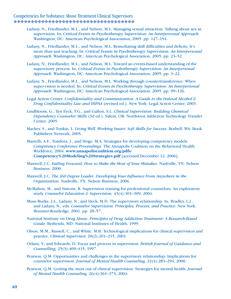- Ladany, N., Friedlander, M.L., and Nelson, M.L. Managing sexual attraction: Talking about sex in supervision. In: *Critical Events in Psychotherapy Supervision: An Interpersonal Approach.* Washington, DC: American Psychological Association, 2005. pp. 127–154.
- Ladany, N., Friedlander, M.L., and Nelson, M.L. Remediating skill difficulties and deficits: It's more than just teaching. In: *Critical Events in Psychotherapy Supervision: An Interpersonal Approach.* Washington, DC: American Psychological Association, 2005. pp. 23–52.
- Ladany, N., Friedlander, M.L., and Nelson, M.L. Toward an events-based understanding of the supervisory process. In: *Critical Events in Psychotherapy Supervision: An Interpersonal Approach.* Washington, DC: American Psychological Association, 2005. pp. 3–22.
- Ladany, N., Friedlander, M.L., and Nelson, M.L. Working through countertransference: When super-vision is needed. In: *Critical Events in Psychotherapy Supervision: An Interpersonal Approach.* Washington, DC: American Psychological Association, 2005. pp. 99–126.
- Legal Action Center. *Confidentiality and Communication: A Guide to the Federal Alcohol & Drug Confidentiality Law and HIPAA* (revised ed.). New York: Legal Action Center, 2003.
- Lindbloom, G., Ten Eyck, T.G., and Gallon, S.L. *Clinical Supervision: Building Chemical Dependency Counselor Skills* (3d ed.). Salem, OR: Northwest Addiction Technology Transfer Center, 2005.
- Mackey, S., and Tonkin, L. *Living Well, Working Smart: Soft Skills for Success.* Bothell, WA: Book Publishers Network, 2005.
- Marrelli, A.F., Tondora, J., and Hoge, M.A. Strategies for developing competency models. *Competency Conference Proceedings.* The Annapolis Coalition on the Behavioral Health Workforce, 2004. **www.annapoliscoalition.org/pdfs/ Competency%20Modeling%20Strategies.pdf** [accessed December 12, 2006].
- Maxwell, J.C. *Failing Forward: How to Make the Most of Your Mistakes.* Nashville, TN: Nelson Business, 2000.
- Maxwell, J.C. *The 360 Degree Leader: Developing Your Influence From Anywhere in the Organization.* Nashville, TN: Nelson Business, 2006.
- McMahon, M., and Simons, R. Supervision training for professional counselors: An exploratory study. *Counselor Education & Supervision,* 43(4):301–309, 2004.
- Muse-Burke, J.L., Ladany, N., and Deck, M.D. The supervisory relationship. In: Bradley, L.J., and Ladany, N., eds. *Counselor Supervision: Principles, Process, and Practice.* New York: Brunner-Routledge, 2001. pp. 28–57.
- National Institute on Drug Abuse. *Principles of Drug Addiction Treatment: A Research-Based Guide.* Bethesda, MD: National Institutes of Health, 1999.
- Olson, M.M., Russell, C., and White, M.B. Technological implications for clinical supervision and practice. *Clinical Supervisor,* 20(2):201–215, 2001.
- Orlans, V., and Edwards, D. Focus and process in supervision. *British Journal of Guidance and Counselling,* 25(3):409–415, 1997.
- Pearson, Q.M. Opportunities and challenges in the supervisory relationship: Implications for counselor supervision. *Journal of Mental Health Counseling,* 22(4):283–294, 2000.
- Pearson, Q.M. Getting the most out of clinical supervision: Strategies for mental health. *Journal of Mental Health Counseling,* 26(4):361–373, 2004.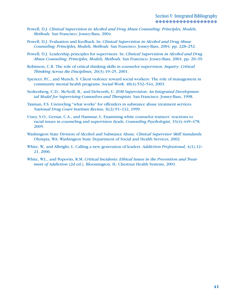- Powell, D.J. *Clinical Supervision in Alcohol and Drug Abuse Counseling: Principles, Models, Methods.* San Francisco: Jossey-Bass, 2004.
- Powell, D.J. Evaluation and feedback. In: *Clinical Supervision in Alcohol and Drug Abuse Counseling: Principles, Models, Methods.* San Francisco: Jossey-Bass, 2004. pp. 228–252.
- Powell, D.J. Leadership principles for supervisors. In: *Clinical Supervision in Alcohol and Drug Abuse Counseling: Principles, Models, Methods.* San Francisco: Jossey-Bass, 2004. pp. 20–39.
- Robinson, C.R. The role of critical thinking skills in counselor supervision. *Inquiry: Critical Thinking Across the Disciplines,* 20(3):19–25, 2001.
- Spencer, P.C., and Munch, S. Client violence toward social workers: The role of management in community mental health programs. *Social Work,* 48(4):532–544, 2003.
- Stoltenberg, C.D., McNeill, B., and Delworth, U. *IDM Supervision: An Integrated Developmental Model for Supervising Counselors and Therapists.* San Francisco: Jossey-Bass, 1998.
- Taxman, F.S. Unraveling "what works" for offenders in substance abuse treatment services. *National Drug Court Institute Review,* II(2):91–132, 1999.
- Utsey, S.O., Gernat, C.A., and Hammar, L. Examining white counselor trainees' reactions to racial issues in counseling and supervision dyads. *Counseling Psychologist,* 33(4):449–478, 2005.
- Washington State Division of Alcohol and Substance Abuse. *Clinical Supervisor Skill Standards.*  Olympia, WA: Washington State Department of Social and Health Services, 2002.
- White, W., and Albright, L. Calling a new generation of leaders. *Addiction Professional,* 4(1):12– 21, 2006.
- White, W.L., and Popovits, R.M. *Critical Incidents: Ethical Issues in the Prevention and Treatment of Addiction (2d ed.). Bloomington, IL: Chestnut Health Systems, 2001.*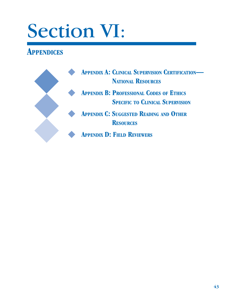# Section VI:

# **APPENDICES**

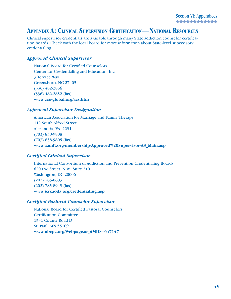# **APPENDIX A: CLINICAL SUPERVISION CERTIFICATION—NATIONAL RESOURCES**

Clinical supervisor credentials are available through many State addiction counselor certification boards. Check with the local board for more information about State-level supervisory credentialing.

#### *Approved Clinical Supervisor*

National Board for Certified Counselors Center for Credentialing and Education, Inc. 3 Terrace Way Greensboro, NC 27403 (336) 482-2856 (336) 482-2852 (fax) **www.cce-global.org/acs.htm**

#### *Approved Supervisor Designation*

American Association for Marriage and Family Therapy 112 South Alfred Street Alexandria, VA 22314 (703) 838-9808 (703) 838-9805 (fax) **www.aamft.org/membership/Approved%20Supervisor/AS\_Main.asp**

#### *Certified Clinical Supervisor*

International Consortium of Addiction and Prevention Credentialing Boards 620 Eye Street, N.W., Suite 210 Washington, DC 20006 (202) 785-0683 (202) 785-8949 (fax) **www.icrcaoda.org/credentialing.asp**

#### *Certified Pastoral Counselor Supervisor*

National Board for Certified Pastoral Counselors Certification Committee 1331 County Road D St. Paul, MN 55109 **www.nbcpc.org/Webpage.asp?MID=647147**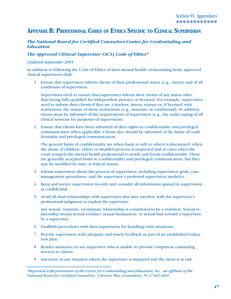### **APPENDIX B: PROFESSIONAL CODES OF ETHICS SPECIFIC TO CLINICAL SUPERVISION**

#### *The National Board for Certified Counselors/Center for Credentialing and Education*

#### *The Approved Clinical Supervisor (ACS) Code of Ethics\**

#### *Updated September 2005*

In addition to following the Code of Ethics of their mental health credentialing body, approved clinical supervisors shall:

1. Ensure that supervisees inform clients of their professional status (e.g., intern) and of all conditions of supervision.

 Supervisors need to ensure that supervisees inform their clients of any status other than being fully qualified for independent practice or licensed. For example, supervisees need to inform their clients if they are a student, intern, trainee or, if licensed with restrictions, the nature of those restrictions (e.g., associate or conditional). In addition, clients must be informed of the requirements of supervision (e.g., the audio taping of all clinical sessions for purposes of supervision).

2. Ensure that clients have been informed of their rights to confidentiality and privileged communication when applicable. Clients also should be informed of the limits of confidentiality and privileged communication.

 The general limits of confidentiality are when harm to self or others is threatened; when the abuse of children, elders or disabled persons is suspected and in cases when the court compels the mental health professional to testify and break confidentiality. These are generally accepted limits to confidentiality and privileged communication, but they may be modified by state or federal statute.

- 3. Inform supervisees about the process of supervision, including supervision goals, case management procedures, and the supervisor's preferred supervision model(s).
- 4. Keep and secure supervision records and consider all information gained in supervision as confidential.
- 5. Avoid all dual relationships with supervisees that may interfere with the supervisor's professional judgment or exploit the supervisee.

 Any sexual, romantic, or intimate relationship is considered to be a violation. Sexual relationship means sexual conduct, sexual harassment, or sexual bias toward a supervisee by a supervisor.

- 6. Establish procedures with their supervisees for handling crisis situations.
- 7. Provide supervisees with adequate and timely feedback as part of an established evaluation plan.
- 8. Render assistance to any supervisee who is unable to provide competent counseling services to clients.
- 9. Intervene in any situation where the supervisee is impaired and the client is at risk.

*<sup>\*</sup>Reprinted with permission of the Center for Credentialing and Education, Inc., an affiliate of the National Board for Certified Counselors, 3 Terrace Way, Greensboro, NC 27403-3660.*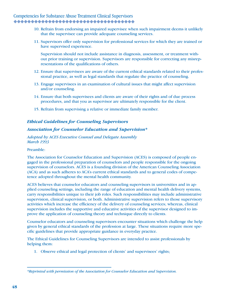- 10. Refrain from endorsing an impaired supervisee when such impairment deems it unlikely that the supervisee can provide adequate counseling services.
- 11. Supervisors offer only supervision for professional services for which they are trained or have supervised experience.

 Supervision should not include assistance in diagnosis, assessment, or treatment without prior training or supervision. Supervisors are responsible for correcting any misrepresentations of the qualifications of others.

- 12. Ensure that supervisees are aware of the current ethical standards related to their professional practice, as well as legal standards that regulate the practice of counseling.
- 13. Engage supervisees in an examination of cultural issues that might affect supervision and/or counseling.
- 14. Ensure that both supervisees and clients are aware of their rights and of due process procedures, and that you as supervisor are ultimately responsible for the client.
- 15. Refrain from supervising a relative or immediate family member.

#### *Ethical Guidelines for Counseling Supervisors*

#### *Association for Counselor Education and Supervision\**

*Adopted by ACES Executive Counsel and Delegate Assembly March 1993* 

Preamble:

The Association for Counselor Education and Supervision (ACES) is composed of people engaged in the professional preparation of counselors and people responsible for the ongoing supervision of counselors. ACES is a founding division of the American Counseling Association (ACA) and as such adheres to ACA's current ethical standards and to general codes of competence adopted throughout the mental health community.

ACES believes that counselor educators and counseling supervisors in universities and in applied counseling settings, including the range of education and mental health delivery systems, carry responsibilities unique to their job roles. Such responsibilities may include administrative supervision, clinical supervision, or both. Administrative supervision refers to those supervisory activities which increase the efficiency of the delivery of counseling services; whereas, clinical supervision includes the supportive and educative activities of the supervisor designed to improve the application of counseling theory and technique directly to clients.

Counselor educators and counseling supervisors encounter situations which challenge the help given by general ethical standards of the profession at large. These situations require more specific guidelines that provide appropriate guidance in everyday practice.

The Ethical Guidelines for Counseling Supervisors are intended to assist professionals by helping them:

1. Observe ethical and legal protection of clients' and supervisees' rights;

*<sup>\*</sup>Reprinted with permission of the Association for Counselor Education and Supervision.*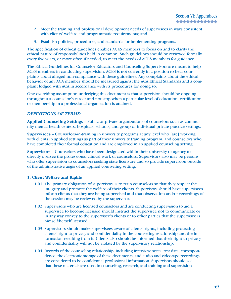- 2. Meet the training and professional development needs of supervisees in ways consistent with clients' welfare and programmatic requirements; and
- 3. Establish policies, procedures, and standards for implementing programs.

The specification of ethical guidelines enables ACES members to focus on and to clarify the ethical nature of responsibilities held in common. Such guidelines should be reviewed formally every five years, or more often if needed, to meet the needs of ACES members for guidance.

The Ethical Guidelines for Counselor Educators and Counseling Supervisors are meant to help ACES members in conducting supervision. ACES is not currently in a position to hear complaints about alleged non-compliance with these guidelines. Any complaints about the ethical behavior of any ACA member should be measured against the ACA Ethical Standards and a complaint lodged with ACA in accordance with its procedures for doing so.

One overriding assumption underlying this document is that supervision should be ongoing throughout a counselor's career and not stop when a particular level of education, certification, or membership in a professional organization is attained.

#### *DEFINITIONS OF TERMS:*

**Applied Counseling Settings** – Public or private organizations of counselors such as community mental health centers, hospitals, schools, and group or individual private practice settings.

**Supervisees** – Counselors-in-training in university programs at any level who [are] working with clients in applied settings as part of their university training program, and counselors who have completed their formal education and are employed in an applied counseling setting.

**Supervisors** – Counselors who have been designated within their university or agency to directly oversee the professional clinical work of counselors. Supervisors also may be persons who offer supervision to counselors seeking state licensure and so provide supervision outside of the administrative aegis of an applied counseling setting.

#### **1. Client Welfare and Rights**

- 1.01 The primary obligation of supervisors is to train counselors so that they respect the integrity and promote the welfare of their clients. Supervisors should have supervisees inform clients that they are being supervised and that observation and/or recordings of the session may be reviewed by the supervisor.
- 1.02 Supervisors who are licensed counselors and are conducting supervision to aid a supervisee to become licensed should instruct the supervisee not to communicate or in any way convey to the supervisee's clients or to other parties that the supervisee is himself/herself licensed.
- 1.03 Supervisors should make supervisees aware of clients' rights, including protecting clients' right to privacy and confidentiality in the counseling relationship and the information resulting from it. Clients also should be informed that their right to privacy and confidentiality will not be violated by the supervisory relationship.
- 1.04 Records of the counseling relationship, including interview notes, test data, correspondence, the electronic storage of these documents, and audio and videotape recordings, are considered to be confidential professional information. Supervisors should see that these materials are used in counseling, research, and training and supervision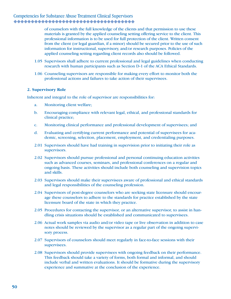of counselors with the full knowledge of the clients and that permission to use these materials is granted by the applied counseling setting offering service to the client. This professional information is to be used for full protection of the client. Written consent from the client (or legal guardian, if a minor) should be secured prior to the use of such information for instructional, supervisory, and/or research purposes. Policies of the applied counseling setting regarding client records also should be followed.

- 1.05 Supervisors shall adhere to current professional and legal guidelines when conducting research with human participants such as Section D-1 of the ACA Ethical Standards.
- 1.06 Counseling supervisors are responsible for making every effort to monitor both the professional actions and failures to take action of their supervisees.

#### **2. Supervisory Role**

Inherent and integral to the role of supervisor are responsibilities for:

- a. Monitoring client welfare;
- b. Encouraging compliance with relevant legal, ethical, and professional standards for clinical practice;
- c. Monitoring clinical performance and professional development of supervisees; and
- d. Evaluating and certifying current performance and potential of supervisees for academic, screening, selection, placement, employment, and credentialing purposes.
- 2.01 Supervisors should have had training in supervision prior to initiating their role as supervisors.
- 2.02 Supervisors should pursue professional and personal continuing education activities such as advanced courses, seminars, and professional conferences on a regular and ongoing basis. These activities should include both counseling and supervision topics and skills.
- 2.03 Supervisors should make their supervisees aware of professional and ethical standards and legal responsibilities of the counseling profession.
- 2.04 Supervisors of post-degree counselors who are seeking state licensure should encourage these counselors to adhere to the standards for practice established by the state licensure board of the state in which they practice.
- 2.05 Procedures for contacting the supervisor, or an alternative supervisor, to assist in handling crisis situations should be established and communicated to supervisees.
- 2.06 Actual work samples via audio and/or video tape or live observation in addition to case notes should be reviewed by the supervisor as a regular part of the ongoing supervisory process.
- 2.07 Supervisors of counselors should meet regularly in face-to-face sessions with their supervisees.
- 2.08 Supervisors should provide supervisees with ongoing feedback on their performance. This feedback should take a variety of forms, both formal and informal, and should include verbal and written evaluations. It should be formative during the supervisory experience and summative at the conclusion of the experience.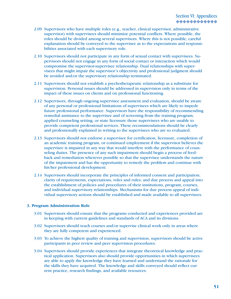- 2.09 Supervisors who have multiple roles (e.g., teacher, clinical supervisor, administrative supervisor) with supervisees should minimize potential conflicts. Where possible, the roles should be divided among several supervisors. Where this is not possible, careful explanation should be conveyed to the supervisee as to the expectations and responsibilities associated with each supervisory role.
- 2.10 Supervisors should not participate in any form of sexual contact with supervisees. Supervisors should not engage in any form of social contact or interaction which would compromise the supervisor-supervisee relationship. Dual relationships with supervisees that might impair the supervisor's objectivity and professional judgment should be avoided and/or the supervisory relationship terminated.
- 2.11 Supervisors should not establish a psychotherapeutic relationship as a substitute for supervision. Personal issues should be addressed in supervision only in terms of the impact of these issues on clients and on professional functioning.
- 2.12 Supervisors, through ongoing supervisee assessment and evaluation, should be aware of any personal or professional limitations of supervisees which are likely to impede future professional performance. Supervisors have the responsibility of recommending remedial assistance to the supervisee and of screening from the training program, applied counseling setting, or state licensure those supervisees who are unable to provide competent professional services. These recommendations should be clearly and professionally explained in writing to the supervisees who are so evaluated.
- 2.13 Supervisors should not endorse a supervisee for certification, licensure, completion of an academic training program, or continued employment if the supervisor believes the supervisee is impaired in any way that would interfere with the performance of counseling duties. The presence of any such impairment should begin a process of feedback and remediation wherever possible so that the supervisee understands the nature of the impairment and has the opportunity to remedy the problem and continue with his/her professional development.
- 2.14 Supervisors should incorporate the principles of informed consent and participation; clarity of requirements, expectations, roles and rules; and due process and appeal into the establishment of policies and procedures of their institutions, program, courses, and individual supervisory relationships. Mechanisms for due process appeal of individual supervisory actions should be established and made available to all supervisees.

#### **3. Program Administration Role**

- 3.01 Supervisors should ensure that the programs conducted and experiences provided are in keeping with current guidelines and standards of ACA and its divisions.
- 3.02 Supervisors should teach courses and/or supervise clinical work only in areas where they are fully competent and experienced.
- 3.03 To achieve the highest quality of training and supervision, supervisors should be active participants in peer review and peer supervision procedures.
- 3.04 Supervisors should provide experiences that integrate theoretical knowledge and practical application. Supervisors also should provide opportunities in which supervisees are able to apply the knowledge they have learned and understand the rationale for the skills they have acquired. The knowledge and skills conveyed should reflect current practice, research findings, and available resources.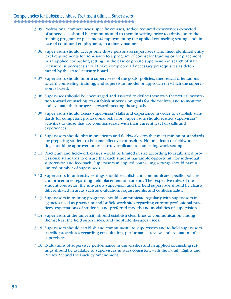- 3.05 Professional competencies, specific courses, and/or required experiences expected of supervisees should be communicated to them in writing prior to admission to the training program or placement/employment by the applied counseling setting, and, in case of continued employment, in a timely manner.
- 3.06 Supervisors should accept only those persons as supervisees who meet identified entry level requirements for admission to a program of counselor training or for placement in an applied counseling setting. In the case of private supervision in search of state licensure, supervisees should have completed all necessary prerequisites as determined by the state licensure board.
- 3.07 Supervisors should inform supervisees of the goals, policies, theoretical orientations toward counseling, training, and supervision model or approach on which the supervision is based.
- 3.08 Supervisees should be encouraged and assisted to define their own theoretical orientation toward counseling, to establish supervision goals for themselves, and to monitor and evaluate their progress toward meeting these goals.
- 3.09 Supervisors should assess supervisees' skills and experience in order to establish standards for competent professional behavior. Supervisors should restrict supervisees' activities to those that are commensurate with their current level of skills and experiences.
- 3.10 Supervisors should obtain practicum and fieldwork sites that meet minimum standards for preparing student to become effective counselors. No practicum or fieldwork setting should be approved unless it truly replicates a counseling work setting.
- 3.11 Practicum and fieldwork classes would be limited in size according to established professional standards to ensure that each student has ample opportunity for individual supervision and feedback. Supervisors in applied counseling settings should have a limited number of supervisees.
- 3.12 Supervisors in university settings should establish and communicate specific policies and procedures regarding field placement of students. The respective roles of the student counselor, the university supervisor, and the field supervisor should be clearly differentiated in areas such as evaluation, requirements, and confidentiality.
- 3.13 Supervisors in training programs should communicate regularly with supervisors in agencies used as practicum and/or fieldwork sites regarding current professional practices, expectations of students, and preferred models and modalities of supervision.
- 3.14 Supervisors at the university should establish clear lines of communication among themselves, the field supervisors, and the students/supervisees.
- 3.15 Supervisors should establish and communicate to supervisees and to field supervisors specific procedures regarding consultation, performance review, and evaluation of supervisees.
- 3.16 Evaluations of supervisee performance in universities and in applied counseling settings should be available to supervisees in ways consistent with the Family Rights and Privacy Act and the Buckley Amendment.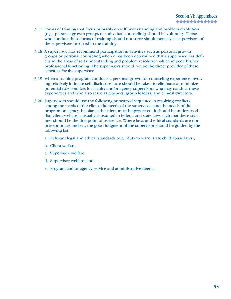- 3.17 Forms of training that focus primarily on self understanding and problem resolution (e.g., personal growth groups or individual counseling) should be voluntary. Those who conduct these forms of training should not serve simultaneously as supervisors of the supervisees involved in the training.
- 3.18 A supervisor may recommend participation in activities such as personal growth groups or personal counseling when it has been determined that a supervisee has deficits in the areas of self understanding and problem resolution which impede his/her professional functioning. The supervisors should not be the direct provider of these activities for the supervisee.
- 3.19 When a training program conducts a personal growth or counseling experience involving relatively intimate self disclosure, care should be taken to eliminate or minimize potential role conflicts for faculty and/or agency supervisors who may conduct these experiences and who also serve as teachers, group leaders, and clinical directors.
- 3.20 Supervisors should use the following prioritized sequence in resolving conflicts among the needs of the client, the needs of the supervisee, and the needs of the program or agency. Insofar as the client must be protected, it should be understood that client welfare is usually subsumed in federal and state laws such that these statutes should be the first point of reference. Where laws and ethical standards are not present or are unclear, the good judgment of the supervisor should be guided by the following list:
	- a. Relevant legal and ethical standards (e.g., duty to warn, state child abuse laws);
	- b. Client welfare;
	- c. Supervisee welfare;
	- d. Supervisor welfare; and
	- e. Program and/or agency service and administrative needs.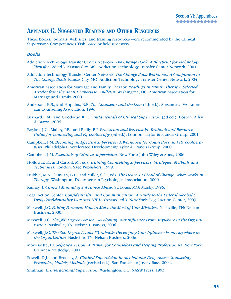### **APPENDIX C: SUGGESTED READING AND OTHER RESOURCES**

These books, journals, Web sites, and training resources were recommended by the Clinical Supervision Competencies Task Force or field reviewers.

#### *Books*

- Addiction Technology Transfer Center Network. *The Change Book: A Blueprint for Technology Transfer* (2d ed.). Kansas City, MO: Addiction Technology Transfer Center Network, 2004.
- Addiction Technology Transfer Center Network. *The Change Book Workbook: A Companion to The Change Book.* Kansas City, MO: Addiction Technology Transfer Center Network, 2004.
- American Association for Marriage and Family Therapy. *Readings in Family Therapy: Selected Articles from the AAMFT Supervisor Bulletin.* Washington, DC: American Association for Marriage and Family, 2000.
- Anderson, B.S., and Hopkins, B.R. *The Counselor and the Law* (4th ed.). Alexandria, VA: American Counseling Association, 1996.
- Bernard, J.M., and Goodyear, R.K. *Fundamentals of Clinical Supervision* (3d ed.). Boston: Allyn & Bacon, 2004.
- Boylan, J.C., Malley, P.B., and Reilly, E.P. *Practicum and Internship, Textbook and Resource Guide for Counseling and Psychotherapy* (3d ed.). London: Taylor & Francis Group, 2001.
- Campbell, J.M. *Becoming an Effective Supervisor: A Workbook for Counselors and Psychotherapists.* Philadelphia: Accelerated Development/Taylor & Francis Group, 2000.
- Campbell, J.M. *Essentials of Clinical Supervision.* New York: John Wiley & Sons, 2006.
- Holloway, E., and Carroll, M., eds. *Training Counselling Supervisors: Strategies, Methods and Techniques.* London: Sage Publishers, 1999.
- Hubble, M.A., Duncan, B.L., and Miller, S.D., eds. *The Heart and Soul of Change: What Works in Therapy.* Washington, DC: American Psychological Association, 2000.
- Kinney, J. *Clinical Manual of Substance Abuse.* St. Louis, MO: Mosby, 1996.
- Legal Action Center. *Confidentiality and Communication: A Guide to the Federal Alcohol & Drug Confidentiality Law and HIPAA* (revised ed.). New York: Legal Action Center, 2003.
- Maxwell, J.C. *Failing Forward: How to Make the Most of Your Mistakes.* Nashville, TN: Nelson Business, 2000.
- Maxwell, J.C. *The 360 Degree Leader: Developing Your Influence From Anywhere in the Organization.* Nashville, TN: Nelson Business, 2006.
- Maxwell, J.C. *The 360 Degree Leader Workbook: Developing Your Influence From Anywhere in the Organization.* Nashville, TN: Nelson Business, 2006.
- Morrissette, P.J. *Self-Supervision: A Primer for Counselors and Helping Professionals.* New York: Brunner-Routledge, 2001.
- Powell, D.J., and Brodsky, A. *Clinical Supervision in Alcohol and Drug Abuse Counseling: Principles, Models, Methods* (revised ed.). San Francisco: Jossey-Bass, 2004.
- Shulman, L. *Interactional Supervision.* Washington, DC: NASW Press, 1993.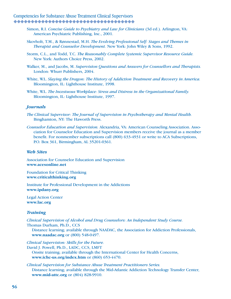- Simon, R.I. *Concise Guide to Psychiatry and Law for Clinicians* (3d ed.). Arlington, VA: American Psychiatric Publishing, Inc., 2001.
- Skovholt, T.M., & Rønnestad, M.H. *The Evolving Professional Self: Stages and Themes in Therapist and Counselor Development.* New York: John Wiley & Sons, 1992.
- Storm, C.L., and Todd, T.C. *The Reasonably Complete Systemic Supervisor Resource Guide.*  New York: Authors Choice Press, 2002.
- Walker, M., and Jacobs, M. *Supervision Questions and Answers for Counsellors and Therapists.*  London: Whurr Publishers, 2004.
- White, W.L. *Slaying the Dragon: The History of Addiction Treatment and Recovery in America.*  Bloomington, IL: Lighthouse Institute, 1998.
- White, W.L. *The Incestuous Workplace: Stress and Distress in the Organizational Family.*  Bloomington, IL: Lighthouse Institute, 1997.

#### *Journals*

- *The Clinical Supervisor: The Journal of Supervision in Psychotherapy and Mental Health.*  Binghamton, NY: The Haworth Press.
- *Counselor Education and Supervision.* Alexandria, VA: American Counseling Association. Association for Counselor Education and Supervision members receive the journal as a member benefit. For nonmember subscriptions call (800) 633-4931 or write to ACA Subscriptions, P.O. Box 361, Birmingham, AL 35201-0361.

#### *Web Sites*

Association for Counselor Education and Supervision **www.acesonline.net**

Foundation for Critical Thinking **www.criticalthinking.org**

Institute for Professional Development in the Addictions **www.ipdany.org**

Legal Action Center **www.lac.org**

#### *Training*

*Clinical Supervision of Alcohol and Drug Counselors: An Independent Study Course.* Thomas Durham, Ph.D., CCS

Distance learning; available through NAADAC, the Association for Addiction Professionals, **www.naadac.org** or (800) 548-0497.

*Clinical Supervision: Skills for the Future.*

David J. Powell, Ph.D., LADC, CCS, LMFT Onsite training; available through the International Center for Health Concerns, **www.ichc-us.org/index.htm** or (860) 653-4470.

*Clinical Supervision for Substance Abuse Treatment Practitioners Series.*  Distance learning; available through the Mid-Atlantic Addiction Technology Transfer Center, **www.mid-attc.org** or (804) 828-9910.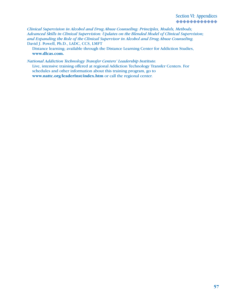*Clinical Supervision in Alcohol and Drug Abuse Counseling: Principles, Models, Methods; Advanced Skills in Clinical Supervision: Updates on the Blended Model of Clinical Supervision; and Expanding the Role of the Clinical Supervisor in Alcohol and Drug Abuse Counseling.* David J. Powell, Ph.D., LADC, CCS, LMFT

Distance learning; available through the Distance Learning Center for Addiction Studies, **www.dlcas.com.**

*National Addiction Technology Transfer Centers' Leadership Institute.* Live, intensive training offered at regional Addiction Technology Transfer Centers. For schedules and other information about this training program, go to **www.nattc.org/leaderInst/index.htm** or call the regional center.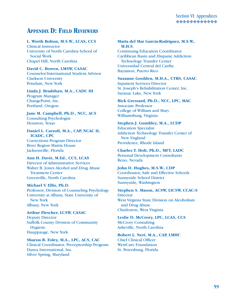## **APPENDIX D: FIELD REVIEWERS**

#### **L. Worth Bolton, M.S.W., LCAS, CCS**

Clinical Instructor University of North Carolina School of Social Work Chapel Hill, North Carolina

**David C. Bowen, LMSW, CASAC** Counselor/International Student Advisor Clarkson University Potsdam, New York

#### **Linda J. Bradshaw, M.A., CADC III** Program Manager

ChangePoint, Inc. Portland, Oregon

**Jane M. Campbell, Ph.D., NCC, ACS** Consulting Psychologist Houston, Texas

**Daniel L. Carzoli, M.A., CAP, NCAC II, ICADC, CPC** Corrections Program Director River Region Matrix House Jacksonville, Florida

**Ann H. Davis, M.Ed., CCS, LCAS** Director of Administrative Services Walter B. Jones Alcohol and Drug Abuse Treatment Center Greenville, North Carolina

**Michael V. Ellis, Ph.D.** Professor, Division of Counseling Psychology University at Albany, State University of New York Albany, New York

**Arthur Flescher, LCSW, CASAC** Deputy Director Suffolk County Division of Community Hygiene Hauppauge, New York

**Sharon R. Foley, M.A., LPC, ACS, CAC** Clinical Coordinator, Preceptorship Program Danya International, Inc. Silver Spring, Maryland

#### **Maria del Mar Garcia-Rodriguez, M.S.W., M.H.S.**

Continuing Education Coordinator Caribbean Basin and Hispanic Addiction Technology Transfer Center Universidad Central del Caribe Bayamon, Puerto Rico

**Suzanne Goolden, M.H.A., CTRS, CASAC** Inpatient Services Director St. Joseph's Rehabilitation Center, Inc. Saranac Lake, New York

**Rick Gressard, Ph.D., NCC, LPC, MAC** Associate Professor College of William and Mary Williamsburg, Virginia

**Stephen J. Gumbley, M.A., LCDP** Education Specialist Addiction Technology Transfer Center of New England Providence, Rhode Island

**Charles T. Holt, Ph.D., MFT, LADC** Personal Development Consultants Reno, Nevada

**John D. Hughes, M.S.W., CDP** Coordinator, Safe and Effective Schools Sunnyside School District Sunnyside, Washington

**Stephen S. Mason, ACSW, LICSW, CCAC-S Director** West Virginia State Division on Alcoholism and Drug Abuse Charleston, West Virginia

**Leslie D. McCrory, LPC, LCAS, CCS** McCrory Consulting Asheville, North Carolina

**Robert L. Neri, M.A., CAP, LMHC** Chief Clinical Officer WestCare Foundation St. Petersburg, Florida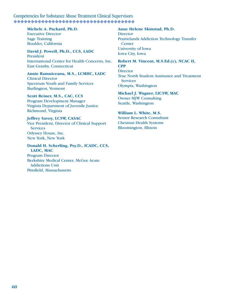#### **Michele A. Packard, Ph.D.**

Executive Director Sage Training Boulder, California

**David J. Powell, Ph.D., CCS, LADC** President International Center for Health Concerns, Inc. East Granby, Connecticut

**Annie Ramniceanu, M.S., LCMHC, LADC** Clinical Director Spectrum Youth and Family Services Burlington, Vermont

#### **Scott Reiner, M.S., CAC, CCS** Program Development Manager

Virginia Department of Juvenile Justice Richmond, Virginia

**Jeffrey Savoy, LCSW, CASAC** Vice President, Director of Clinical Support **Services** Odyssey House, Inc.

New York, New York

#### **Donald H. Scherling, Psy.D., ICADC, CCS, LADC, MAC**

Program Director Berkshire Medical Center, McGee Acute Addictions Unit Pittsfield, Massachusetts

#### **Anne Helene Skinstad, Ph.D. Director** Prairielands Addiction Technology Transfer **Center** University of Iowa Iowa City, Iowa

**Robert M. Vincent, M.S.Ed.(c), NCAC II, CPP Director** True North Student Assistance and Treatment **Services** Olympia, Washington

**Michael J. Wagner, LICSW, MAC** Owner MJW Consulting Seattle, Washington

#### **William L. White, M.S.**

Senior Research Consultant Chestnut Health Systems Bloomington, Illinois